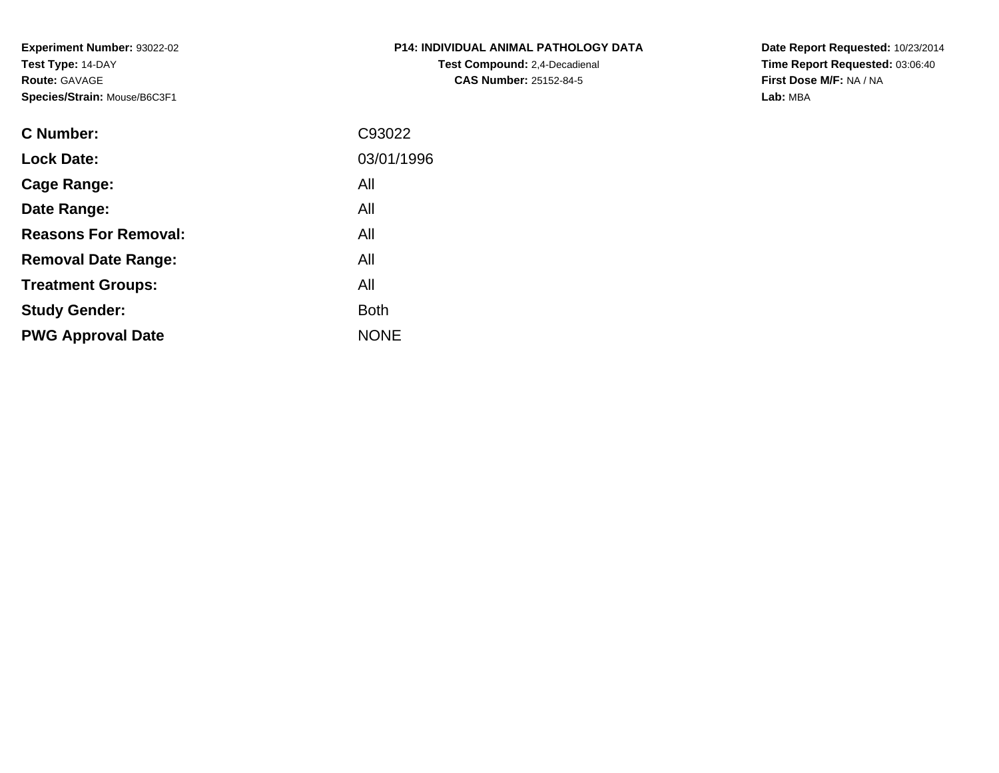**Experiment Number:** 93022-02**Test Type:** 14-DAY**Route:** GAVAGE**Species/Strain:** Mouse/B6C3F1

| P14: INDIVIDUAL ANIMAL PATHOLOGY DATA |
|---------------------------------------|
| <b>Test Compound:</b> 2.4-Decadienal  |
| <b>CAS Number: 25152-84-5</b>         |

**Date Report Requested:** 10/23/2014 **Time Report Requested:** 03:06:40**First Dose M/F:** NA / NA**Lab:** MBA

| C Number:                   | C93022      |
|-----------------------------|-------------|
| <b>Lock Date:</b>           | 03/01/1996  |
| Cage Range:                 | All         |
| Date Range:                 | All         |
| <b>Reasons For Removal:</b> | All         |
| <b>Removal Date Range:</b>  | All         |
| <b>Treatment Groups:</b>    | All         |
| <b>Study Gender:</b>        | <b>Both</b> |
| <b>PWG Approval Date</b>    | <b>NONE</b> |
|                             |             |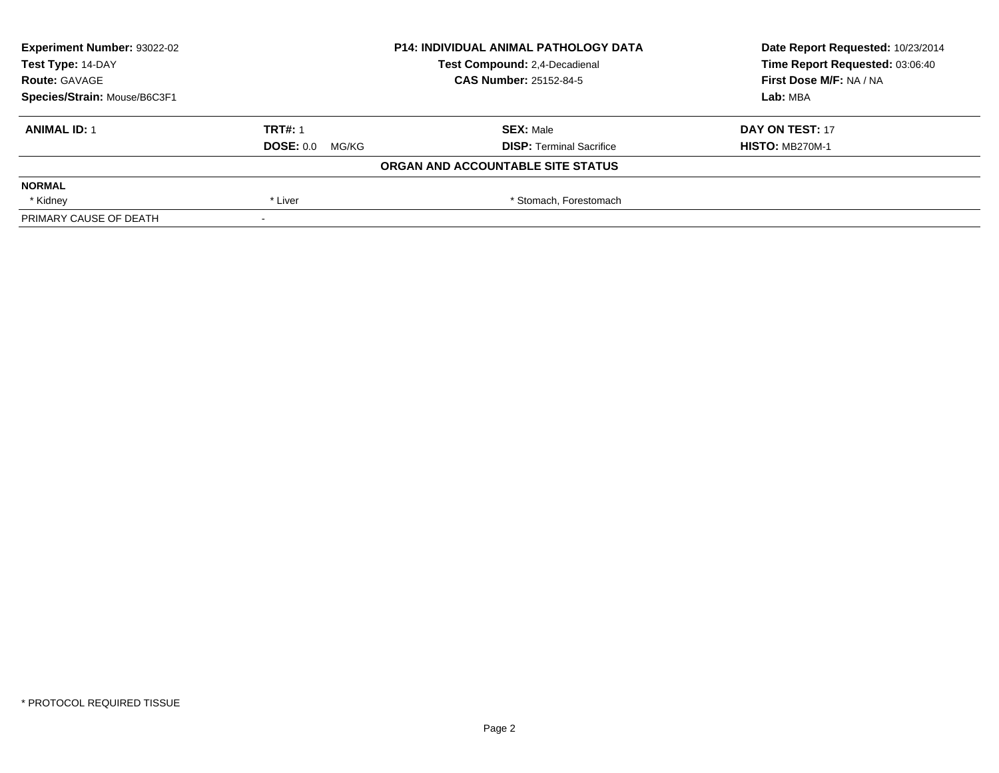| <b>Experiment Number: 93022-02</b> |                           | <b>P14: INDIVIDUAL ANIMAL PATHOLOGY DATA</b> | Date Report Requested: 10/23/2014 |
|------------------------------------|---------------------------|----------------------------------------------|-----------------------------------|
| Test Type: 14-DAY                  |                           | Test Compound: 2,4-Decadienal                | Time Report Requested: 03:06:40   |
| <b>Route: GAVAGE</b>               |                           | <b>CAS Number: 25152-84-5</b>                | First Dose M/F: NA / NA           |
| Species/Strain: Mouse/B6C3F1       |                           |                                              | Lab: MBA                          |
| <b>ANIMAL ID: 1</b>                | <b>TRT#: 1</b>            | <b>SEX: Male</b>                             | DAY ON TEST: 17                   |
|                                    | <b>DOSE: 0.0</b><br>MG/KG | <b>DISP:</b> Terminal Sacrifice              | <b>HISTO: MB270M-1</b>            |
|                                    |                           | ORGAN AND ACCOUNTABLE SITE STATUS            |                                   |
| <b>NORMAL</b>                      |                           |                                              |                                   |
| * Kidney                           | * Liver                   | * Stomach, Forestomach                       |                                   |
| PRIMARY CAUSE OF DEATH             |                           |                                              |                                   |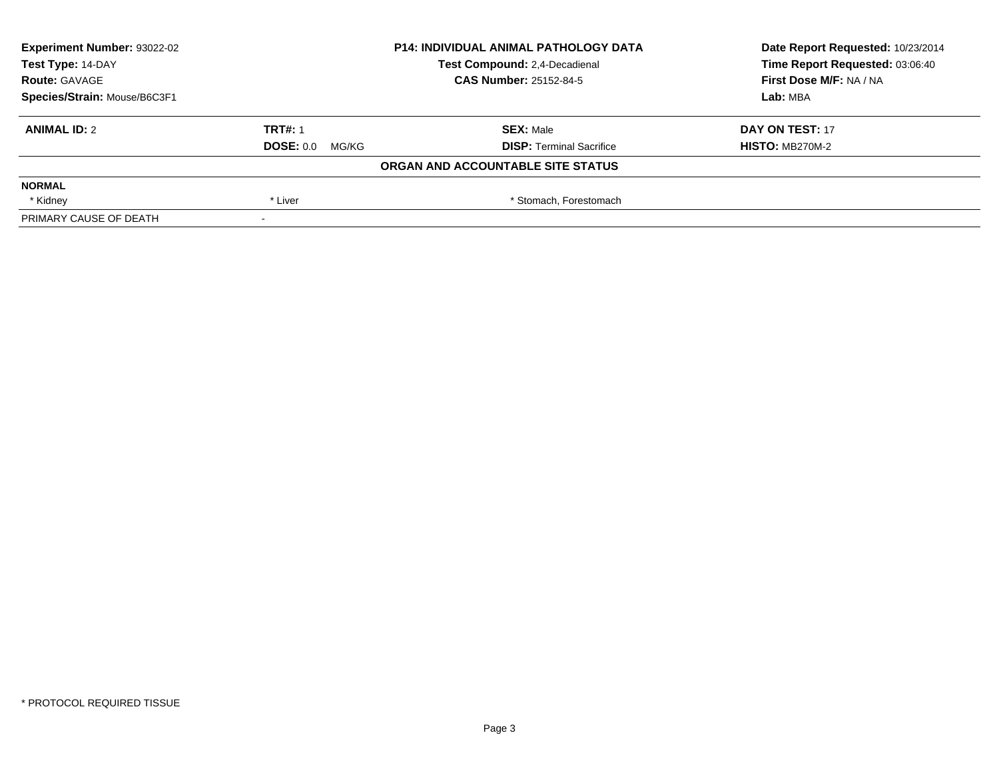| <b>Experiment Number: 93022-02</b> |                           | <b>P14: INDIVIDUAL ANIMAL PATHOLOGY DATA</b> | Date Report Requested: 10/23/2014 |
|------------------------------------|---------------------------|----------------------------------------------|-----------------------------------|
| Test Type: 14-DAY                  |                           | Test Compound: 2,4-Decadienal                | Time Report Requested: 03:06:40   |
| <b>Route: GAVAGE</b>               |                           | <b>CAS Number: 25152-84-5</b>                | First Dose M/F: NA / NA           |
| Species/Strain: Mouse/B6C3F1       |                           |                                              | Lab: MBA                          |
| <b>ANIMAL ID: 2</b>                | <b>TRT#: 1</b>            | <b>SEX: Male</b>                             | DAY ON TEST: 17                   |
|                                    | <b>DOSE: 0.0</b><br>MG/KG | <b>DISP:</b> Terminal Sacrifice              | <b>HISTO: MB270M-2</b>            |
|                                    |                           | ORGAN AND ACCOUNTABLE SITE STATUS            |                                   |
| <b>NORMAL</b>                      |                           |                                              |                                   |
| * Kidney                           | * Liver                   | * Stomach, Forestomach                       |                                   |
| PRIMARY CAUSE OF DEATH             |                           |                                              |                                   |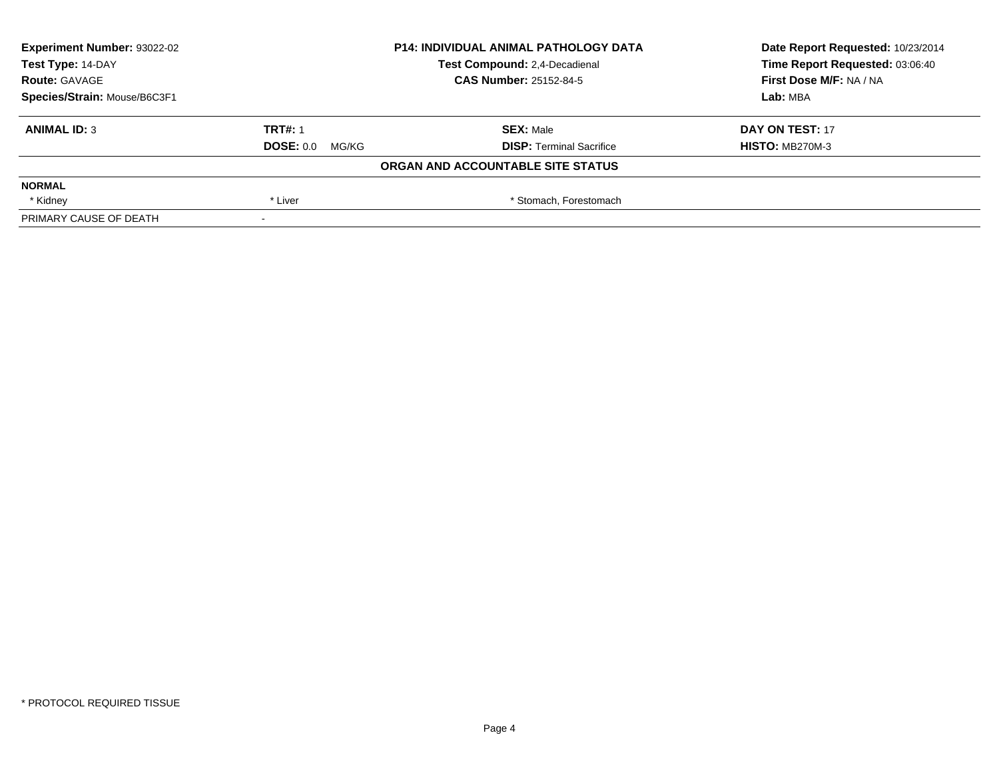| <b>Experiment Number: 93022-02</b><br>Test Type: 14-DAY | <b>P14: INDIVIDUAL ANIMAL PATHOLOGY DATA</b><br>Test Compound: 2,4-Decadienal |                                   |                         | Date Report Requested: 10/23/2014<br>Time Report Requested: 03:06:40 |
|---------------------------------------------------------|-------------------------------------------------------------------------------|-----------------------------------|-------------------------|----------------------------------------------------------------------|
| <b>Route: GAVAGE</b>                                    |                                                                               | <b>CAS Number: 25152-84-5</b>     | First Dose M/F: NA / NA |                                                                      |
| Species/Strain: Mouse/B6C3F1                            |                                                                               |                                   | Lab: MBA                |                                                                      |
| <b>ANIMAL ID: 3</b>                                     | <b>TRT#: 1</b>                                                                | <b>SEX: Male</b>                  | DAY ON TEST: 17         |                                                                      |
|                                                         | DOSE: 0.0<br>MG/KG                                                            | <b>DISP: Terminal Sacrifice</b>   | <b>HISTO: MB270M-3</b>  |                                                                      |
|                                                         |                                                                               | ORGAN AND ACCOUNTABLE SITE STATUS |                         |                                                                      |
| <b>NORMAL</b>                                           |                                                                               |                                   |                         |                                                                      |
| * Kidney                                                | * Liver                                                                       | * Stomach, Forestomach            |                         |                                                                      |
| PRIMARY CAUSE OF DEATH                                  |                                                                               |                                   |                         |                                                                      |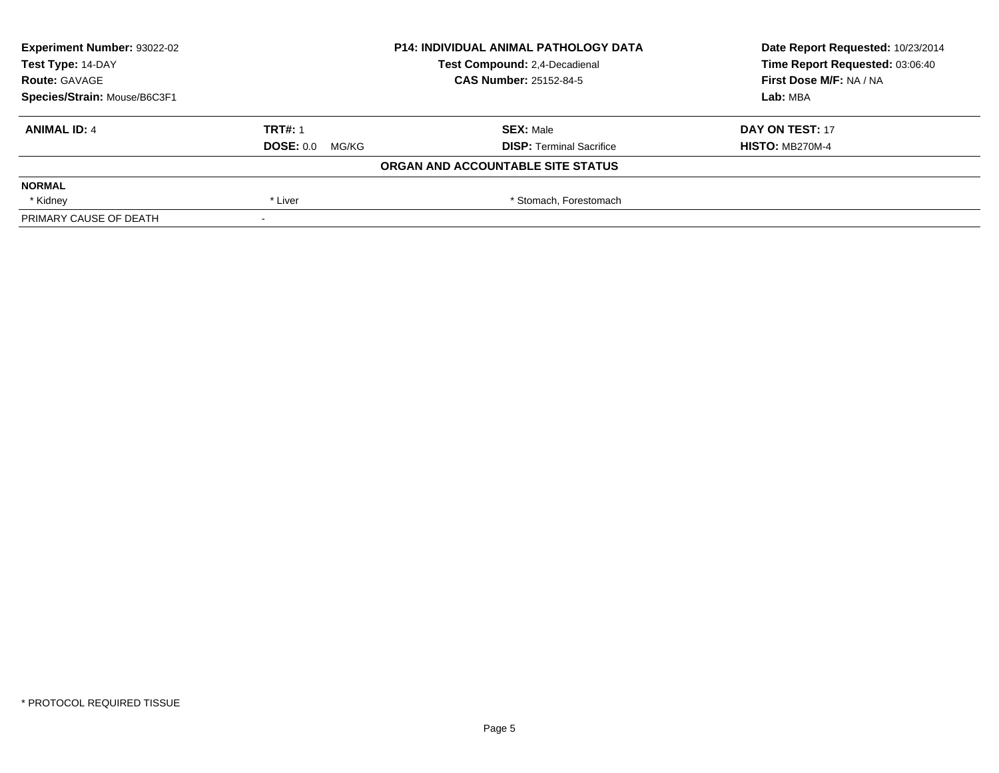| <b>Experiment Number: 93022-02</b> |                    | <b>P14: INDIVIDUAL ANIMAL PATHOLOGY DATA</b> | Date Report Requested: 10/23/2014 |
|------------------------------------|--------------------|----------------------------------------------|-----------------------------------|
| Test Type: 14-DAY                  |                    | Test Compound: 2,4-Decadienal                | Time Report Requested: 03:06:40   |
| <b>Route: GAVAGE</b>               |                    | <b>CAS Number: 25152-84-5</b>                | First Dose M/F: NA / NA           |
| Species/Strain: Mouse/B6C3F1       |                    |                                              | Lab: MBA                          |
| <b>ANIMAL ID: 4</b>                | <b>TRT#: 1</b>     | <b>SEX: Male</b>                             | DAY ON TEST: 17                   |
|                                    | DOSE: 0.0<br>MG/KG | <b>DISP:</b> Terminal Sacrifice              | <b>HISTO: MB270M-4</b>            |
|                                    |                    | ORGAN AND ACCOUNTABLE SITE STATUS            |                                   |
| <b>NORMAL</b>                      |                    |                                              |                                   |
| * Kidney                           | * Liver            | * Stomach, Forestomach                       |                                   |
| PRIMARY CAUSE OF DEATH             |                    |                                              |                                   |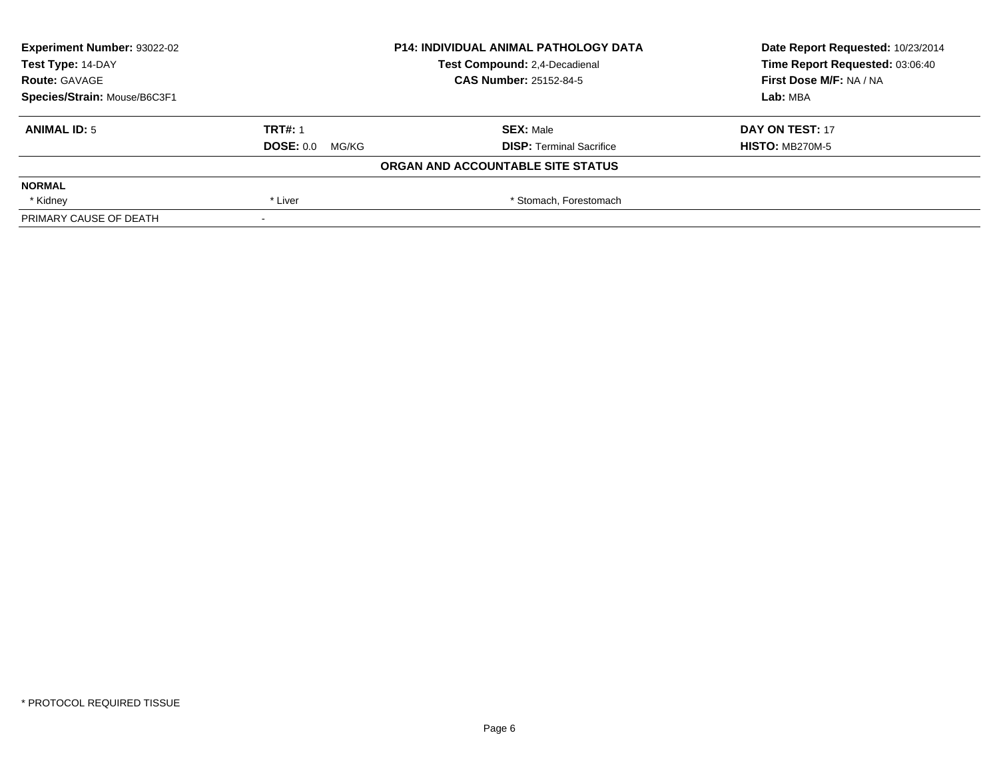| <b>Experiment Number: 93022-02</b><br>Test Type: 14-DAY | <b>P14: INDIVIDUAL ANIMAL PATHOLOGY DATA</b><br><b>Test Compound: 2.4-Decadienal</b> |                                   |                         | Date Report Requested: 10/23/2014<br>Time Report Requested: 03:06:40 |
|---------------------------------------------------------|--------------------------------------------------------------------------------------|-----------------------------------|-------------------------|----------------------------------------------------------------------|
| <b>Route: GAVAGE</b>                                    |                                                                                      | <b>CAS Number: 25152-84-5</b>     | First Dose M/F: NA / NA |                                                                      |
| Species/Strain: Mouse/B6C3F1                            |                                                                                      |                                   | Lab: MBA                |                                                                      |
| <b>ANIMAL ID: 5</b>                                     | <b>TRT#: 1</b>                                                                       | <b>SEX: Male</b>                  | DAY ON TEST: 17         |                                                                      |
|                                                         | <b>DOSE: 0.0</b><br>MG/KG                                                            | <b>DISP:</b> Terminal Sacrifice   | <b>HISTO: MB270M-5</b>  |                                                                      |
|                                                         |                                                                                      | ORGAN AND ACCOUNTABLE SITE STATUS |                         |                                                                      |
| <b>NORMAL</b>                                           |                                                                                      |                                   |                         |                                                                      |
| * Kidney                                                | * Liver                                                                              | * Stomach, Forestomach            |                         |                                                                      |
| PRIMARY CAUSE OF DEATH                                  |                                                                                      |                                   |                         |                                                                      |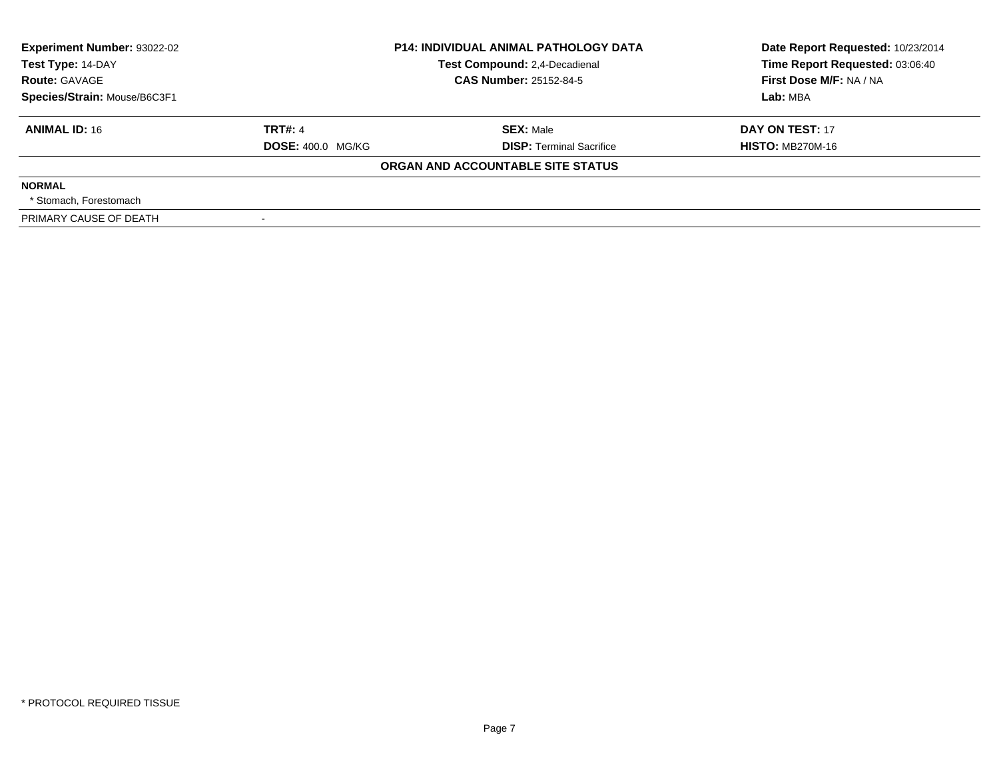| <b>Experiment Number: 93022-02</b><br>Test Type: 14-DAY<br><b>Route: GAVAGE</b><br>Species/Strain: Mouse/B6C3F1 |                                            | <b>P14: INDIVIDUAL ANIMAL PATHOLOGY DATA</b><br>Test Compound: 2,4-Decadienal<br><b>CAS Number: 25152-84-5</b> | Date Report Requested: 10/23/2014<br>Time Report Requested: 03:06:40<br>First Dose M/F: NA / NA<br>Lab: MBA |
|-----------------------------------------------------------------------------------------------------------------|--------------------------------------------|----------------------------------------------------------------------------------------------------------------|-------------------------------------------------------------------------------------------------------------|
| <b>ANIMAL ID: 16</b>                                                                                            | <b>TRT#: 4</b><br><b>DOSE: 400.0 MG/KG</b> | <b>SEX: Male</b><br><b>DISP:</b> Terminal Sacrifice                                                            | DAY ON TEST: 17<br><b>HISTO: MB270M-16</b>                                                                  |
|                                                                                                                 |                                            | ORGAN AND ACCOUNTABLE SITE STATUS                                                                              |                                                                                                             |
| <b>NORMAL</b><br>* Stomach. Forestomach                                                                         |                                            |                                                                                                                |                                                                                                             |
| PRIMARY CAUSE OF DEATH                                                                                          |                                            |                                                                                                                |                                                                                                             |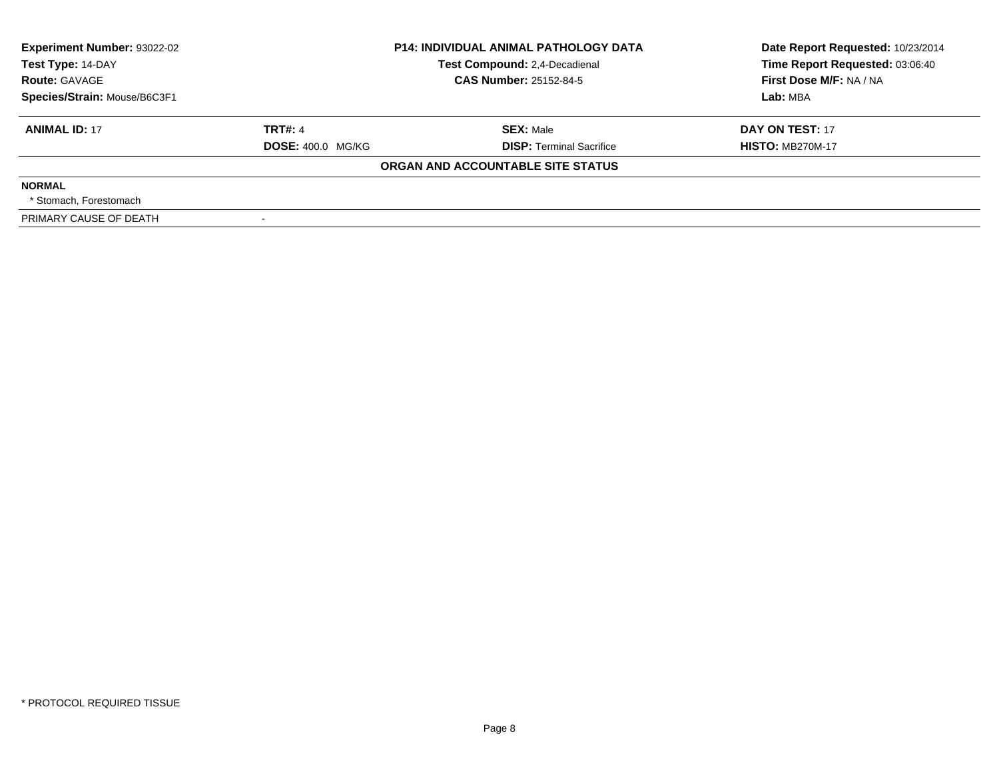| <b>Experiment Number: 93022-02</b><br>Test Type: 14-DAY<br><b>Route: GAVAGE</b><br>Species/Strain: Mouse/B6C3F1 |                                            | <b>P14: INDIVIDUAL ANIMAL PATHOLOGY DATA</b><br>Test Compound: 2,4-Decadienal<br><b>CAS Number: 25152-84-5</b> | Date Report Requested: 10/23/2014<br>Time Report Requested: 03:06:40<br>First Dose M/F: NA / NA<br>Lab: MBA |
|-----------------------------------------------------------------------------------------------------------------|--------------------------------------------|----------------------------------------------------------------------------------------------------------------|-------------------------------------------------------------------------------------------------------------|
| <b>ANIMAL ID: 17</b>                                                                                            | <b>TRT#: 4</b><br><b>DOSE: 400.0 MG/KG</b> | <b>SEX: Male</b><br><b>DISP:</b> Terminal Sacrifice                                                            | DAY ON TEST: 17<br><b>HISTO: MB270M-17</b>                                                                  |
|                                                                                                                 |                                            | ORGAN AND ACCOUNTABLE SITE STATUS                                                                              |                                                                                                             |
| <b>NORMAL</b><br>* Stomach. Forestomach                                                                         |                                            |                                                                                                                |                                                                                                             |
| PRIMARY CAUSE OF DEATH                                                                                          |                                            |                                                                                                                |                                                                                                             |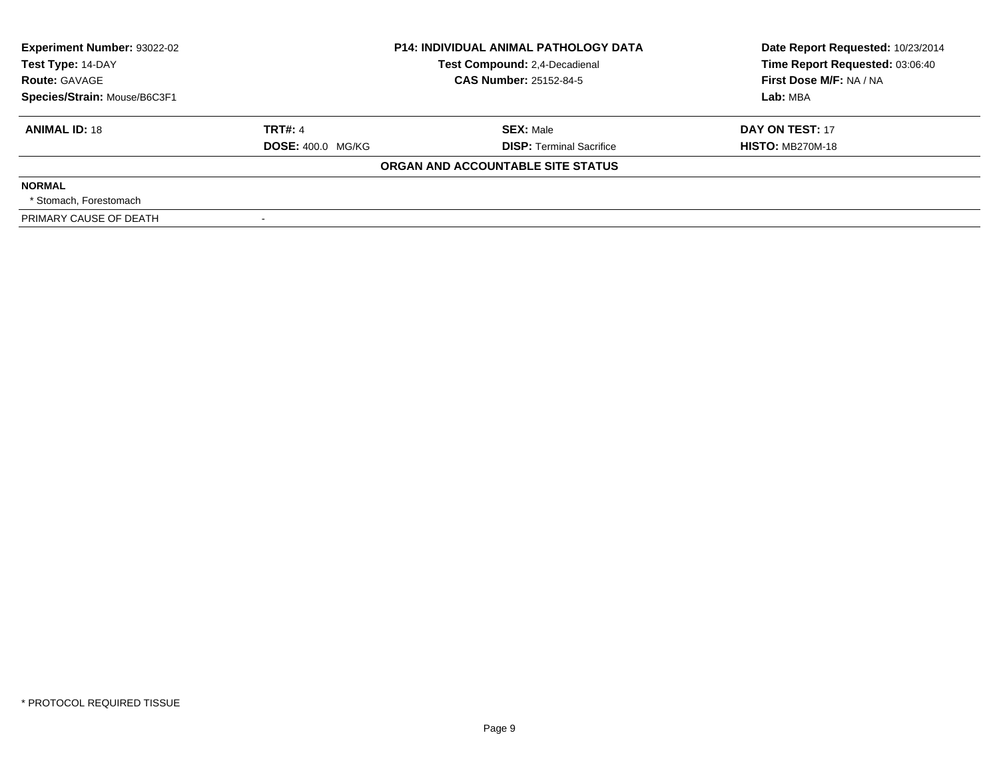| <b>Experiment Number: 93022-02</b><br>Test Type: 14-DAY<br><b>Route: GAVAGE</b><br>Species/Strain: Mouse/B6C3F1 |                                            | <b>P14: INDIVIDUAL ANIMAL PATHOLOGY DATA</b><br>Test Compound: 2,4-Decadienal<br><b>CAS Number: 25152-84-5</b> | Date Report Requested: 10/23/2014<br>Time Report Requested: 03:06:40<br>First Dose M/F: NA / NA<br>Lab: MBA |
|-----------------------------------------------------------------------------------------------------------------|--------------------------------------------|----------------------------------------------------------------------------------------------------------------|-------------------------------------------------------------------------------------------------------------|
| <b>ANIMAL ID: 18</b>                                                                                            | <b>TRT#: 4</b><br><b>DOSE: 400.0 MG/KG</b> | <b>SEX: Male</b><br><b>DISP:</b> Terminal Sacrifice                                                            | DAY ON TEST: 17<br><b>HISTO: MB270M-18</b>                                                                  |
|                                                                                                                 |                                            | ORGAN AND ACCOUNTABLE SITE STATUS                                                                              |                                                                                                             |
| <b>NORMAL</b><br>* Stomach. Forestomach                                                                         |                                            |                                                                                                                |                                                                                                             |
| PRIMARY CAUSE OF DEATH                                                                                          |                                            |                                                                                                                |                                                                                                             |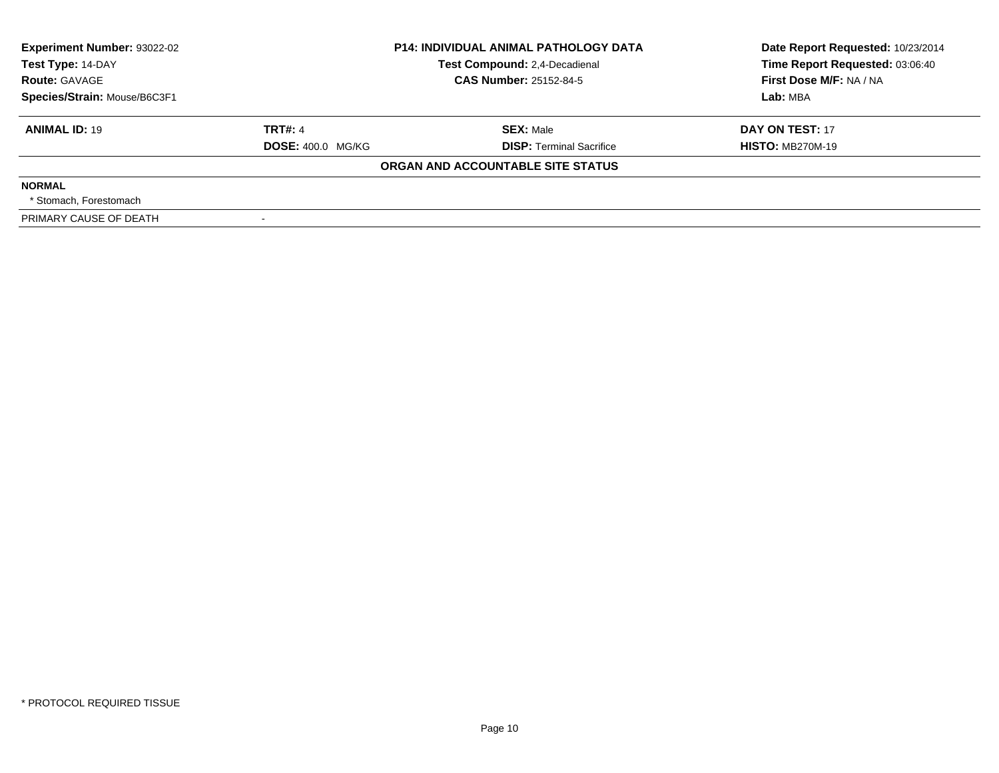| <b>Experiment Number: 93022-02</b><br>Test Type: 14-DAY<br><b>Route: GAVAGE</b><br>Species/Strain: Mouse/B6C3F1 |                                            | <b>P14: INDIVIDUAL ANIMAL PATHOLOGY DATA</b><br>Test Compound: 2,4-Decadienal<br><b>CAS Number: 25152-84-5</b> | Date Report Requested: 10/23/2014<br>Time Report Requested: 03:06:40<br>First Dose M/F: NA / NA<br>Lab: MBA |
|-----------------------------------------------------------------------------------------------------------------|--------------------------------------------|----------------------------------------------------------------------------------------------------------------|-------------------------------------------------------------------------------------------------------------|
| <b>ANIMAL ID: 19</b>                                                                                            | <b>TRT#: 4</b><br><b>DOSE: 400.0 MG/KG</b> | <b>SEX: Male</b><br><b>DISP:</b> Terminal Sacrifice                                                            | DAY ON TEST: 17<br><b>HISTO: MB270M-19</b>                                                                  |
|                                                                                                                 |                                            | ORGAN AND ACCOUNTABLE SITE STATUS                                                                              |                                                                                                             |
| <b>NORMAL</b><br>* Stomach. Forestomach                                                                         |                                            |                                                                                                                |                                                                                                             |
| PRIMARY CAUSE OF DEATH                                                                                          |                                            |                                                                                                                |                                                                                                             |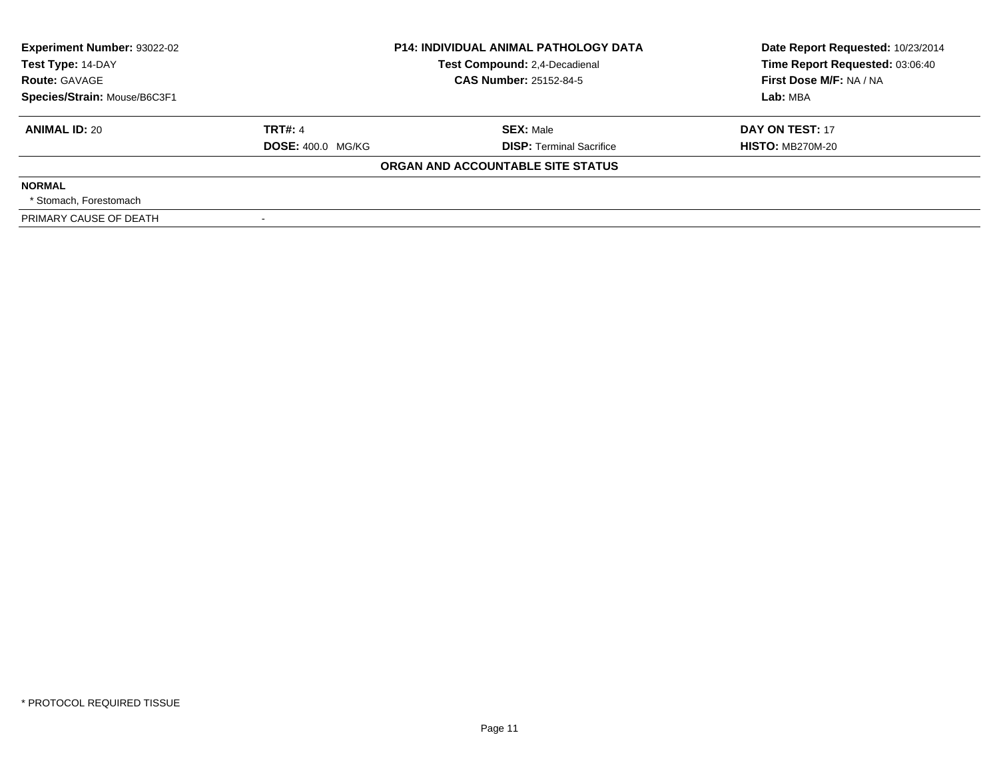| <b>Experiment Number: 93022-02</b><br>Test Type: 14-DAY<br><b>Route: GAVAGE</b><br>Species/Strain: Mouse/B6C3F1 |                                            | <b>P14: INDIVIDUAL ANIMAL PATHOLOGY DATA</b><br>Test Compound: 2,4-Decadienal<br><b>CAS Number: 25152-84-5</b> | Date Report Requested: 10/23/2014<br>Time Report Requested: 03:06:40<br>First Dose M/F: NA / NA<br>Lab: MBA |
|-----------------------------------------------------------------------------------------------------------------|--------------------------------------------|----------------------------------------------------------------------------------------------------------------|-------------------------------------------------------------------------------------------------------------|
| <b>ANIMAL ID: 20</b>                                                                                            | <b>TRT#: 4</b><br><b>DOSE: 400.0 MG/KG</b> | <b>SEX: Male</b><br><b>DISP:</b> Terminal Sacrifice                                                            | DAY ON TEST: 17<br><b>HISTO: MB270M-20</b>                                                                  |
|                                                                                                                 |                                            | ORGAN AND ACCOUNTABLE SITE STATUS                                                                              |                                                                                                             |
| <b>NORMAL</b><br>* Stomach. Forestomach                                                                         |                                            |                                                                                                                |                                                                                                             |
| PRIMARY CAUSE OF DEATH                                                                                          |                                            |                                                                                                                |                                                                                                             |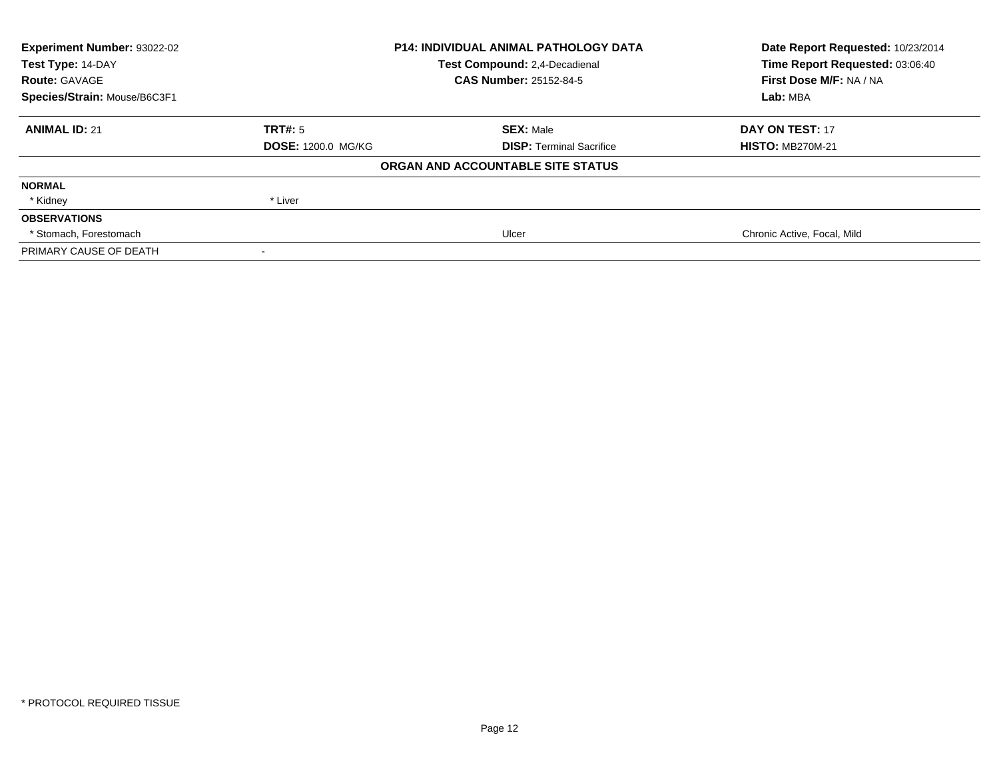| Experiment Number: 93022-02  |                               | <b>P14: INDIVIDUAL ANIMAL PATHOLOGY DATA</b> | Date Report Requested: 10/23/2014 |  |
|------------------------------|-------------------------------|----------------------------------------------|-----------------------------------|--|
| Test Type: 14-DAY            | Test Compound: 2.4-Decadienal |                                              | Time Report Requested: 03:06:40   |  |
| <b>Route: GAVAGE</b>         |                               | <b>CAS Number: 25152-84-5</b>                | First Dose M/F: NA / NA           |  |
| Species/Strain: Mouse/B6C3F1 |                               |                                              | Lab: MBA                          |  |
| <b>ANIMAL ID: 21</b>         | TRT#: 5                       | <b>SEX: Male</b>                             | DAY ON TEST: 17                   |  |
|                              | <b>DOSE: 1200.0 MG/KG</b>     | <b>DISP: Terminal Sacrifice</b>              | <b>HISTO: MB270M-21</b>           |  |
|                              |                               | ORGAN AND ACCOUNTABLE SITE STATUS            |                                   |  |
| <b>NORMAL</b>                |                               |                                              |                                   |  |
| * Kidney                     | * Liver                       |                                              |                                   |  |
| <b>OBSERVATIONS</b>          |                               |                                              |                                   |  |
| * Stomach, Forestomach       |                               | Ulcer                                        | Chronic Active, Focal, Mild       |  |
| PRIMARY CAUSE OF DEATH       |                               |                                              |                                   |  |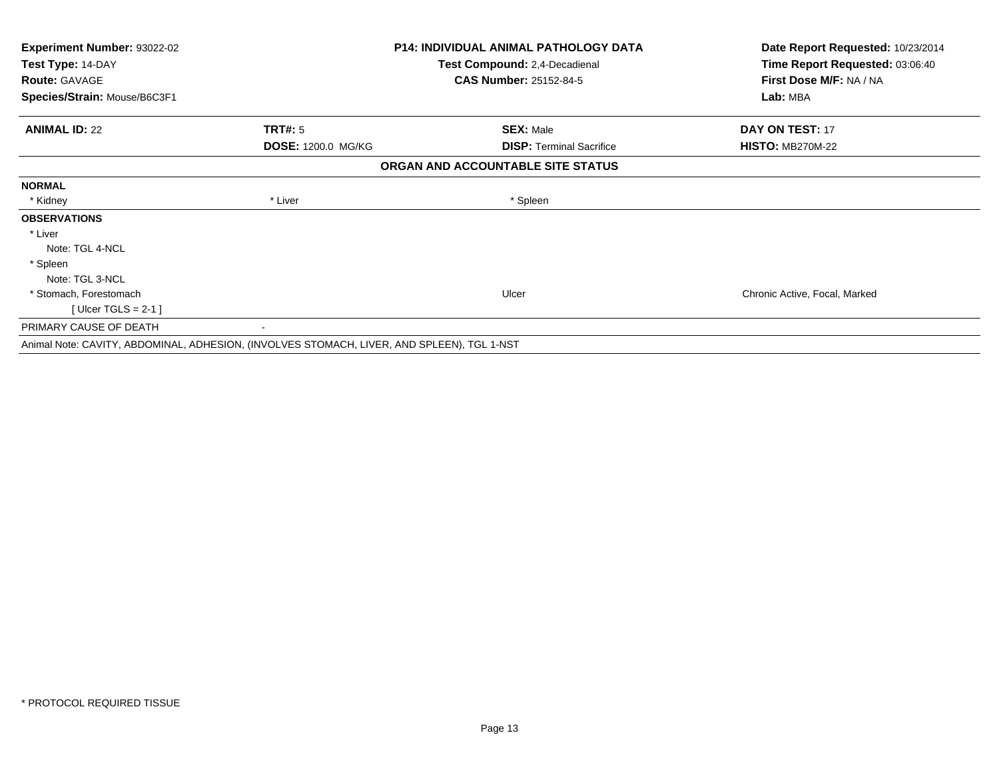| <b>Experiment Number: 93022-02</b>                                                         | <b>P14: INDIVIDUAL ANIMAL PATHOLOGY DATA</b> |                                   | Date Report Requested: 10/23/2014 |
|--------------------------------------------------------------------------------------------|----------------------------------------------|-----------------------------------|-----------------------------------|
| Test Type: 14-DAY                                                                          |                                              | Test Compound: 2,4-Decadienal     | Time Report Requested: 03:06:40   |
| <b>Route: GAVAGE</b>                                                                       |                                              | <b>CAS Number: 25152-84-5</b>     | First Dose M/F: NA / NA           |
| Species/Strain: Mouse/B6C3F1                                                               |                                              |                                   | Lab: MBA                          |
| <b>ANIMAL ID: 22</b>                                                                       | <b>TRT#: 5</b>                               | <b>SEX: Male</b>                  | DAY ON TEST: 17                   |
|                                                                                            | DOSE: 1200.0 MG/KG                           | <b>DISP:</b> Terminal Sacrifice   | <b>HISTO: MB270M-22</b>           |
|                                                                                            |                                              | ORGAN AND ACCOUNTABLE SITE STATUS |                                   |
| <b>NORMAL</b>                                                                              |                                              |                                   |                                   |
| * Kidney                                                                                   | * Liver                                      | * Spleen                          |                                   |
| <b>OBSERVATIONS</b>                                                                        |                                              |                                   |                                   |
| * Liver                                                                                    |                                              |                                   |                                   |
| Note: TGL 4-NCL                                                                            |                                              |                                   |                                   |
| * Spleen                                                                                   |                                              |                                   |                                   |
| Note: TGL 3-NCL                                                                            |                                              |                                   |                                   |
| * Stomach, Forestomach                                                                     |                                              | Ulcer                             | Chronic Active, Focal, Marked     |
| [ Ulcer TGLS = $2-1$ ]                                                                     |                                              |                                   |                                   |
| PRIMARY CAUSE OF DEATH                                                                     |                                              |                                   |                                   |
| Animal Note: CAVITY, ABDOMINAL, ADHESION, (INVOLVES STOMACH, LIVER, AND SPLEEN), TGL 1-NST |                                              |                                   |                                   |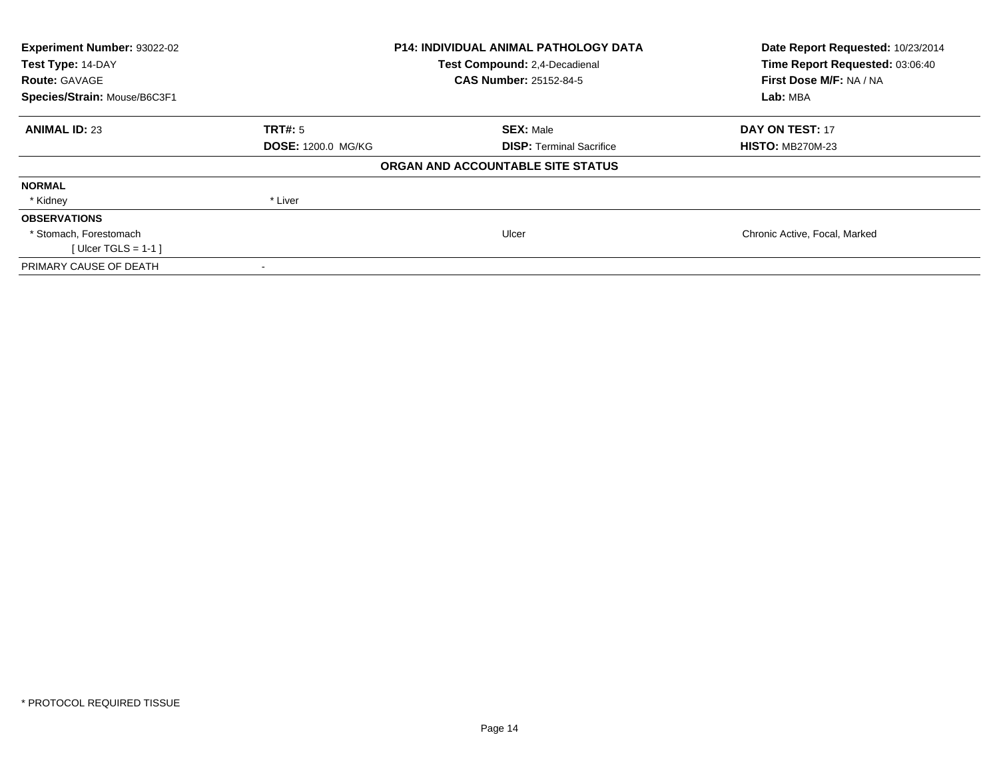| Experiment Number: 93022-02<br>Test Type: 14-DAY<br><b>Route: GAVAGE</b> |                    | <b>P14: INDIVIDUAL ANIMAL PATHOLOGY DATA</b><br>Test Compound: 2,4-Decadienal<br><b>CAS Number: 25152-84-5</b> | Date Report Requested: 10/23/2014<br>Time Report Requested: 03:06:40<br>First Dose M/F: NA / NA |
|--------------------------------------------------------------------------|--------------------|----------------------------------------------------------------------------------------------------------------|-------------------------------------------------------------------------------------------------|
| Species/Strain: Mouse/B6C3F1                                             |                    |                                                                                                                | Lab: MBA                                                                                        |
| <b>ANIMAL ID: 23</b>                                                     | TRT#: 5            | <b>SEX: Male</b>                                                                                               | <b>DAY ON TEST: 17</b>                                                                          |
|                                                                          | DOSE: 1200.0 MG/KG | <b>DISP:</b> Terminal Sacrifice                                                                                | <b>HISTO: MB270M-23</b>                                                                         |
|                                                                          |                    | ORGAN AND ACCOUNTABLE SITE STATUS                                                                              |                                                                                                 |
| <b>NORMAL</b>                                                            |                    |                                                                                                                |                                                                                                 |
| * Kidney                                                                 | * Liver            |                                                                                                                |                                                                                                 |
| <b>OBSERVATIONS</b>                                                      |                    |                                                                                                                |                                                                                                 |
| * Stomach, Forestomach                                                   |                    | Ulcer                                                                                                          | Chronic Active, Focal, Marked                                                                   |
| [ Ulcer TGLS = $1-1$ ]                                                   |                    |                                                                                                                |                                                                                                 |
| PRIMARY CAUSE OF DEATH                                                   |                    |                                                                                                                |                                                                                                 |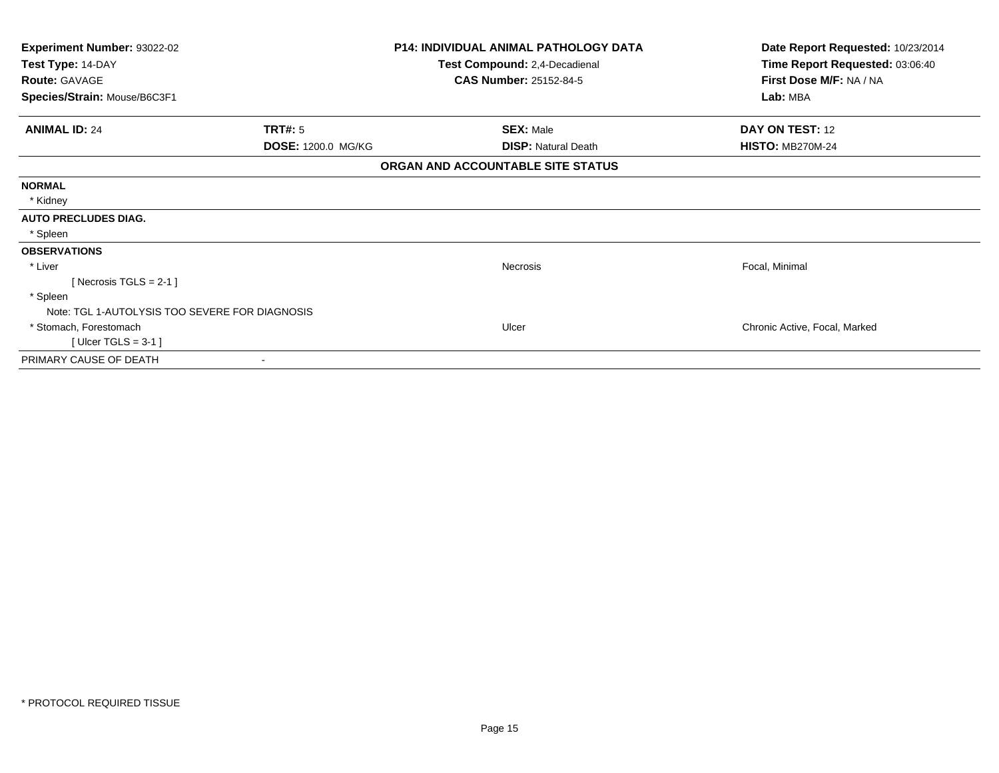| Experiment Number: 93022-02<br>Test Type: 14-DAY     |                           | <b>P14: INDIVIDUAL ANIMAL PATHOLOGY DATA</b><br>Test Compound: 2,4-Decadienal | Date Report Requested: 10/23/2014<br>Time Report Requested: 03:06:40 |  |
|------------------------------------------------------|---------------------------|-------------------------------------------------------------------------------|----------------------------------------------------------------------|--|
| <b>Route: GAVAGE</b><br>Species/Strain: Mouse/B6C3F1 |                           | <b>CAS Number: 25152-84-5</b>                                                 | First Dose M/F: NA / NA<br>Lab: MBA                                  |  |
| <b>ANIMAL ID: 24</b>                                 | TRT#: 5                   | <b>SEX: Male</b>                                                              | DAY ON TEST: 12                                                      |  |
|                                                      | <b>DOSE: 1200.0 MG/KG</b> | <b>DISP: Natural Death</b>                                                    | <b>HISTO: MB270M-24</b>                                              |  |
|                                                      |                           | ORGAN AND ACCOUNTABLE SITE STATUS                                             |                                                                      |  |
| <b>NORMAL</b>                                        |                           |                                                                               |                                                                      |  |
| * Kidney                                             |                           |                                                                               |                                                                      |  |
| <b>AUTO PRECLUDES DIAG.</b>                          |                           |                                                                               |                                                                      |  |
| * Spleen                                             |                           |                                                                               |                                                                      |  |
| <b>OBSERVATIONS</b>                                  |                           |                                                                               |                                                                      |  |
| * Liver                                              |                           | Necrosis                                                                      | Focal, Minimal                                                       |  |
| [Necrosis TGLS = $2-1$ ]                             |                           |                                                                               |                                                                      |  |
| * Spleen                                             |                           |                                                                               |                                                                      |  |
| Note: TGL 1-AUTOLYSIS TOO SEVERE FOR DIAGNOSIS       |                           |                                                                               |                                                                      |  |
| * Stomach, Forestomach                               |                           | Ulcer                                                                         | Chronic Active, Focal, Marked                                        |  |
| [ Ulcer TGLS = $3-1$ ]                               |                           |                                                                               |                                                                      |  |
| PRIMARY CAUSE OF DEATH                               |                           |                                                                               |                                                                      |  |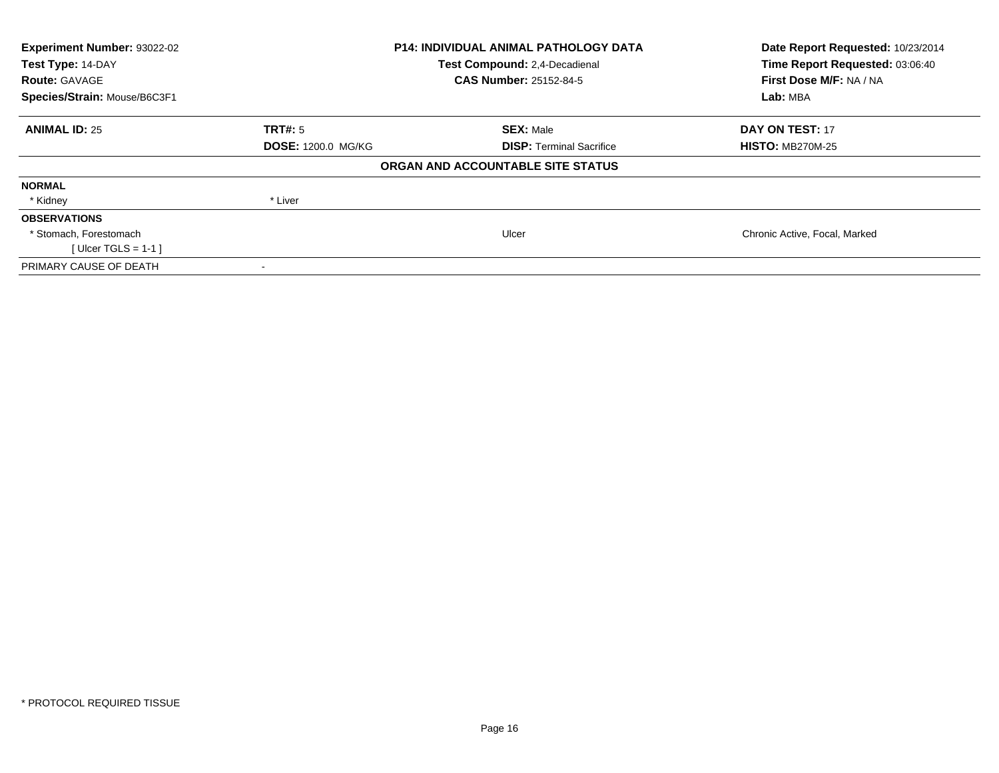| Experiment Number: 93022-02<br>Test Type: 14-DAY<br><b>Route: GAVAGE</b> |                    | <b>P14: INDIVIDUAL ANIMAL PATHOLOGY DATA</b><br>Test Compound: 2,4-Decadienal<br><b>CAS Number: 25152-84-5</b> | Date Report Requested: 10/23/2014<br>Time Report Requested: 03:06:40<br>First Dose M/F: NA / NA |  |
|--------------------------------------------------------------------------|--------------------|----------------------------------------------------------------------------------------------------------------|-------------------------------------------------------------------------------------------------|--|
| Species/Strain: Mouse/B6C3F1                                             |                    |                                                                                                                | Lab: MBA                                                                                        |  |
| <b>ANIMAL ID: 25</b>                                                     | TRT#: 5            | <b>SEX: Male</b>                                                                                               | <b>DAY ON TEST: 17</b>                                                                          |  |
|                                                                          | DOSE: 1200.0 MG/KG | <b>DISP:</b> Terminal Sacrifice                                                                                | <b>HISTO: MB270M-25</b>                                                                         |  |
|                                                                          |                    | ORGAN AND ACCOUNTABLE SITE STATUS                                                                              |                                                                                                 |  |
| <b>NORMAL</b>                                                            |                    |                                                                                                                |                                                                                                 |  |
| * Kidney                                                                 | * Liver            |                                                                                                                |                                                                                                 |  |
| <b>OBSERVATIONS</b>                                                      |                    |                                                                                                                |                                                                                                 |  |
| * Stomach, Forestomach                                                   |                    | Ulcer                                                                                                          | Chronic Active, Focal, Marked                                                                   |  |
| [ Ulcer TGLS = $1-1$ ]                                                   |                    |                                                                                                                |                                                                                                 |  |
| PRIMARY CAUSE OF DEATH                                                   |                    |                                                                                                                |                                                                                                 |  |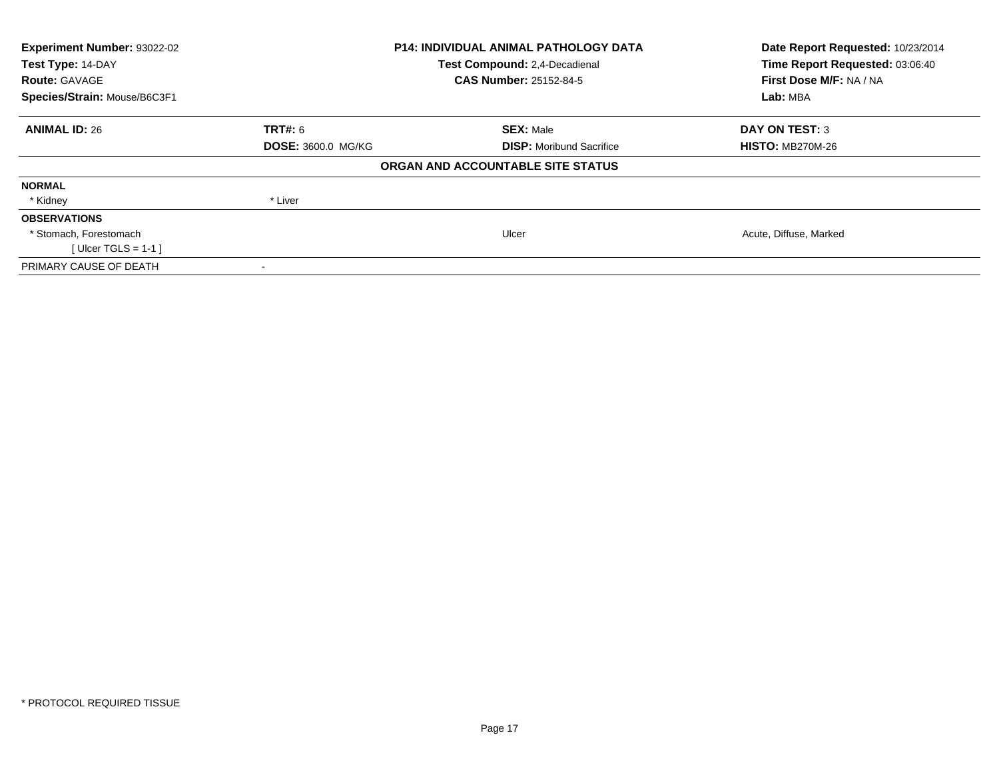| Experiment Number: 93022-02<br>Test Type: 14-DAY<br><b>Route: GAVAGE</b> |                           | <b>P14: INDIVIDUAL ANIMAL PATHOLOGY DATA</b><br>Test Compound: 2,4-Decadienal<br><b>CAS Number: 25152-84-5</b> | Date Report Requested: 10/23/2014<br>Time Report Requested: 03:06:40<br>First Dose M/F: NA / NA |
|--------------------------------------------------------------------------|---------------------------|----------------------------------------------------------------------------------------------------------------|-------------------------------------------------------------------------------------------------|
| Species/Strain: Mouse/B6C3F1                                             |                           |                                                                                                                | Lab: MBA                                                                                        |
| <b>ANIMAL ID: 26</b>                                                     | <b>TRT#:</b> 6            | <b>SEX: Male</b>                                                                                               | <b>DAY ON TEST: 3</b>                                                                           |
|                                                                          | <b>DOSE: 3600.0 MG/KG</b> | <b>DISP:</b> Moribund Sacrifice                                                                                | <b>HISTO: MB270M-26</b>                                                                         |
|                                                                          |                           | ORGAN AND ACCOUNTABLE SITE STATUS                                                                              |                                                                                                 |
| <b>NORMAL</b>                                                            |                           |                                                                                                                |                                                                                                 |
| * Kidney                                                                 | * Liver                   |                                                                                                                |                                                                                                 |
| <b>OBSERVATIONS</b>                                                      |                           |                                                                                                                |                                                                                                 |
| * Stomach, Forestomach                                                   |                           | Ulcer                                                                                                          | Acute, Diffuse, Marked                                                                          |
| [ Ulcer TGLS = $1-1$ ]                                                   |                           |                                                                                                                |                                                                                                 |
| PRIMARY CAUSE OF DEATH                                                   |                           |                                                                                                                |                                                                                                 |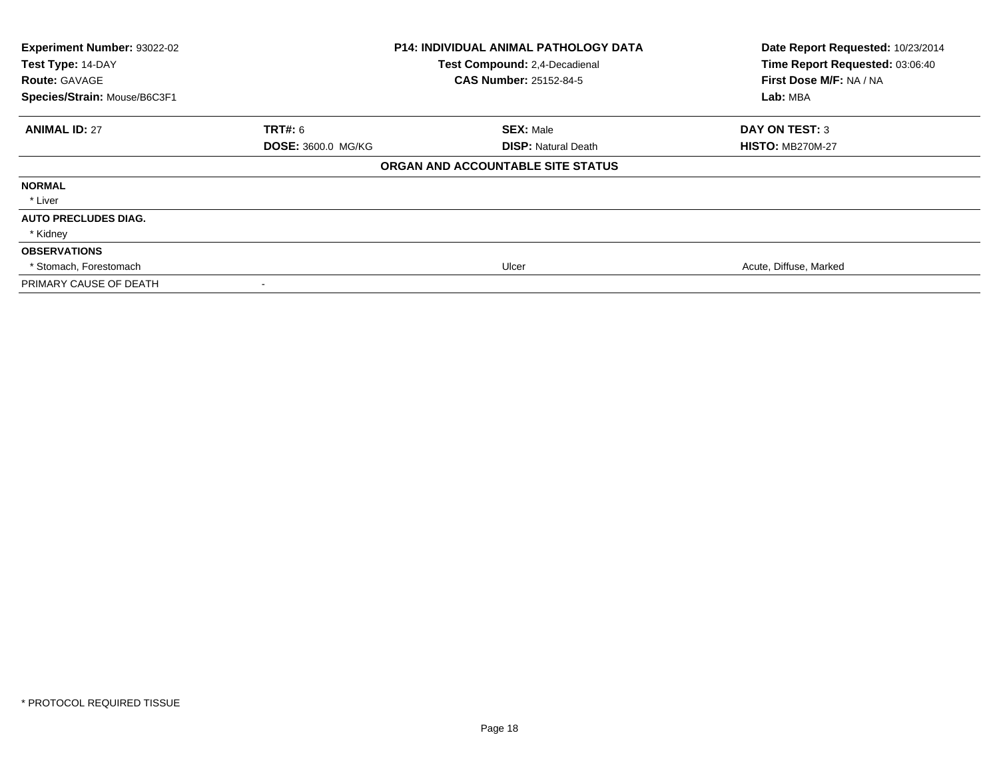| Experiment Number: 93022-02<br>Test Type: 14-DAY<br><b>Route: GAVAGE</b><br>Species/Strain: Mouse/B6C3F1 |                           | <b>P14: INDIVIDUAL ANIMAL PATHOLOGY DATA</b><br>Test Compound: 2,4-Decadienal<br><b>CAS Number: 25152-84-5</b> | Date Report Requested: 10/23/2014<br>Time Report Requested: 03:06:40<br>First Dose M/F: NA / NA<br>Lab: MBA |
|----------------------------------------------------------------------------------------------------------|---------------------------|----------------------------------------------------------------------------------------------------------------|-------------------------------------------------------------------------------------------------------------|
| <b>ANIMAL ID: 27</b>                                                                                     | <b>TRT#: 6</b>            | <b>SEX: Male</b>                                                                                               | <b>DAY ON TEST: 3</b>                                                                                       |
|                                                                                                          | <b>DOSE: 3600.0 MG/KG</b> | <b>DISP:</b> Natural Death                                                                                     | <b>HISTO: MB270M-27</b>                                                                                     |
|                                                                                                          |                           | ORGAN AND ACCOUNTABLE SITE STATUS                                                                              |                                                                                                             |
| <b>NORMAL</b>                                                                                            |                           |                                                                                                                |                                                                                                             |
| * Liver                                                                                                  |                           |                                                                                                                |                                                                                                             |
| <b>AUTO PRECLUDES DIAG.</b>                                                                              |                           |                                                                                                                |                                                                                                             |
| * Kidney                                                                                                 |                           |                                                                                                                |                                                                                                             |
| <b>OBSERVATIONS</b>                                                                                      |                           |                                                                                                                |                                                                                                             |
| * Stomach, Forestomach                                                                                   |                           | Ulcer                                                                                                          | Acute, Diffuse, Marked                                                                                      |
| PRIMARY CAUSE OF DEATH                                                                                   |                           |                                                                                                                |                                                                                                             |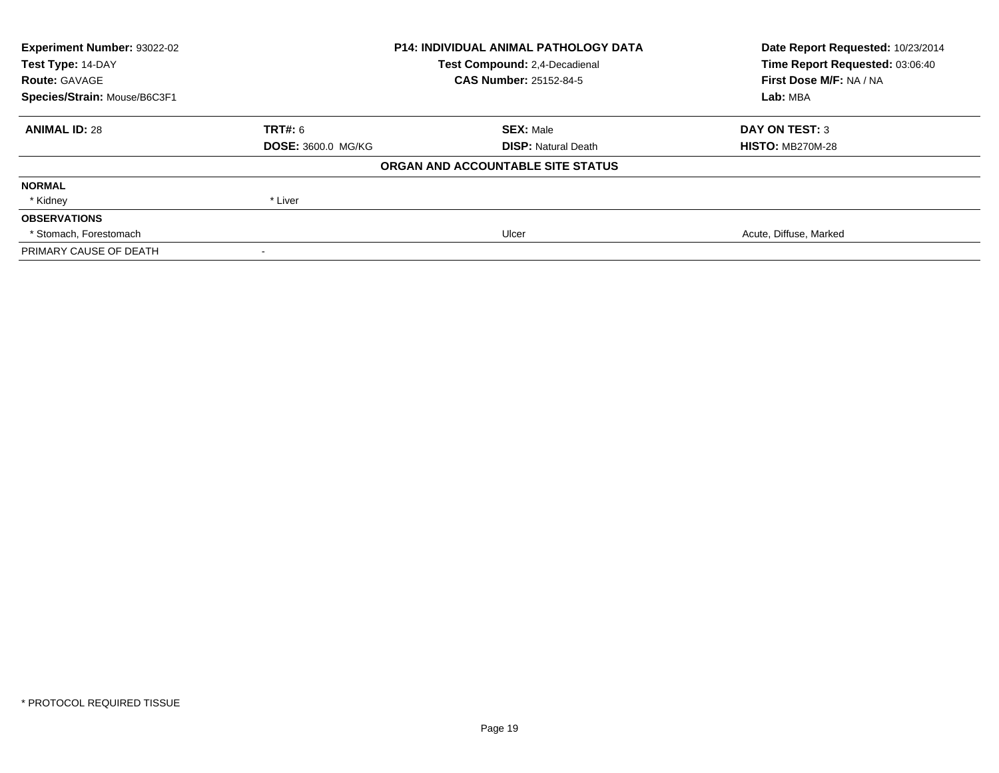| Experiment Number: 93022-02  | <b>P14: INDIVIDUAL ANIMAL PATHOLOGY DATA</b><br>Test Compound: 2,4-Decadienal |                                   | Date Report Requested: 10/23/2014 |
|------------------------------|-------------------------------------------------------------------------------|-----------------------------------|-----------------------------------|
| Test Type: 14-DAY            |                                                                               |                                   | Time Report Requested: 03:06:40   |
| <b>Route: GAVAGE</b>         |                                                                               | <b>CAS Number: 25152-84-5</b>     | First Dose M/F: NA / NA           |
| Species/Strain: Mouse/B6C3F1 |                                                                               |                                   | Lab: MBA                          |
| <b>ANIMAL ID: 28</b>         | <b>TRT#: 6</b>                                                                | <b>SEX: Male</b>                  | <b>DAY ON TEST: 3</b>             |
|                              | <b>DOSE: 3600.0 MG/KG</b>                                                     | <b>DISP: Natural Death</b>        | <b>HISTO: MB270M-28</b>           |
|                              |                                                                               | ORGAN AND ACCOUNTABLE SITE STATUS |                                   |
| <b>NORMAL</b>                |                                                                               |                                   |                                   |
| * Kidney                     | * Liver                                                                       |                                   |                                   |
| <b>OBSERVATIONS</b>          |                                                                               |                                   |                                   |
| * Stomach, Forestomach       |                                                                               | Ulcer                             | Acute, Diffuse, Marked            |
| PRIMARY CAUSE OF DEATH       |                                                                               |                                   |                                   |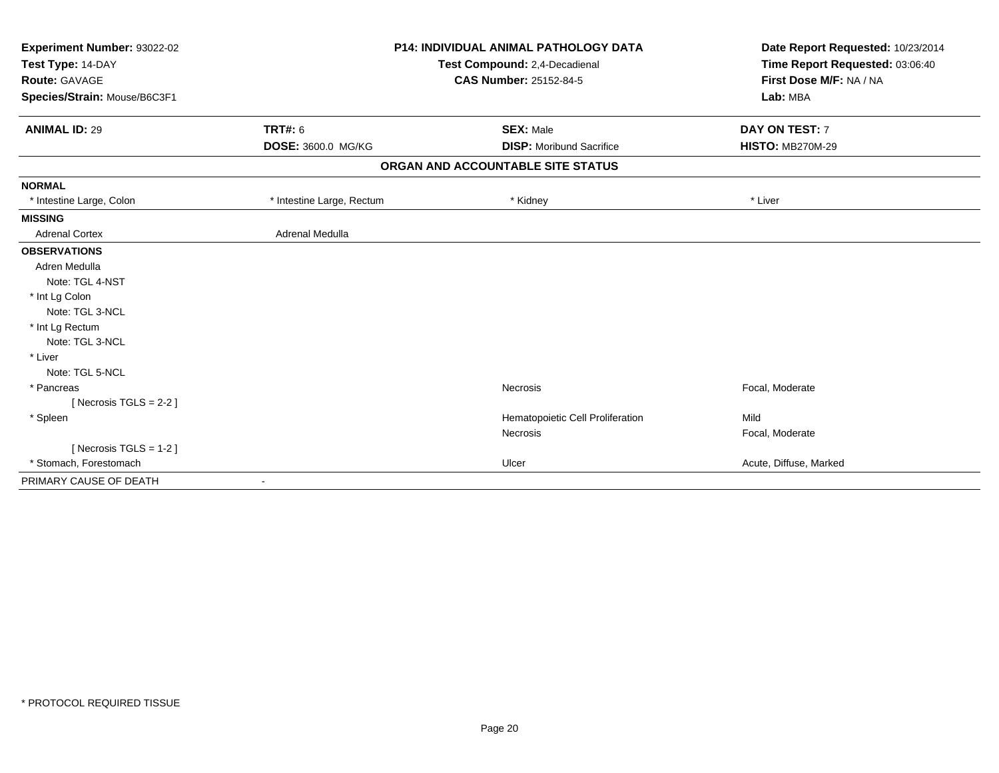| <b>P14: INDIVIDUAL ANIMAL PATHOLOGY DATA</b><br>Experiment Number: 93022-02<br>Test Type: 14-DAY<br>Test Compound: 2,4-Decadienal |                           | Date Report Requested: 10/23/2014 |                         |  |
|-----------------------------------------------------------------------------------------------------------------------------------|---------------------------|-----------------------------------|-------------------------|--|
|                                                                                                                                   |                           | Time Report Requested: 03:06:40   |                         |  |
| <b>Route: GAVAGE</b>                                                                                                              |                           | <b>CAS Number: 25152-84-5</b>     | First Dose M/F: NA / NA |  |
| Species/Strain: Mouse/B6C3F1                                                                                                      |                           |                                   | Lab: MBA                |  |
| <b>ANIMAL ID: 29</b>                                                                                                              | <b>TRT#: 6</b>            | <b>SEX: Male</b>                  | DAY ON TEST: 7          |  |
|                                                                                                                                   | DOSE: 3600.0 MG/KG        | <b>DISP: Moribund Sacrifice</b>   | <b>HISTO: MB270M-29</b> |  |
|                                                                                                                                   |                           | ORGAN AND ACCOUNTABLE SITE STATUS |                         |  |
| <b>NORMAL</b>                                                                                                                     |                           |                                   |                         |  |
| * Intestine Large, Colon                                                                                                          | * Intestine Large, Rectum | * Kidney                          | * Liver                 |  |
| <b>MISSING</b>                                                                                                                    |                           |                                   |                         |  |
| <b>Adrenal Cortex</b>                                                                                                             | Adrenal Medulla           |                                   |                         |  |
| <b>OBSERVATIONS</b>                                                                                                               |                           |                                   |                         |  |
| Adren Medulla                                                                                                                     |                           |                                   |                         |  |
| Note: TGL 4-NST                                                                                                                   |                           |                                   |                         |  |
| * Int Lg Colon                                                                                                                    |                           |                                   |                         |  |
| Note: TGL 3-NCL                                                                                                                   |                           |                                   |                         |  |
| * Int Lg Rectum                                                                                                                   |                           |                                   |                         |  |
| Note: TGL 3-NCL                                                                                                                   |                           |                                   |                         |  |
| * Liver                                                                                                                           |                           |                                   |                         |  |
| Note: TGL 5-NCL                                                                                                                   |                           |                                   |                         |  |
| * Pancreas                                                                                                                        |                           | <b>Necrosis</b>                   | Focal, Moderate         |  |
| [Necrosis $TGLS = 2-2$ ]                                                                                                          |                           |                                   |                         |  |
| * Spleen                                                                                                                          |                           | Hematopoietic Cell Proliferation  | Mild                    |  |
|                                                                                                                                   |                           | Necrosis                          | Focal, Moderate         |  |
| [ Necrosis $TGLS = 1-2$ ]                                                                                                         |                           |                                   |                         |  |
| * Stomach, Forestomach                                                                                                            |                           | Ulcer                             | Acute, Diffuse, Marked  |  |
| PRIMARY CAUSE OF DEATH                                                                                                            |                           |                                   |                         |  |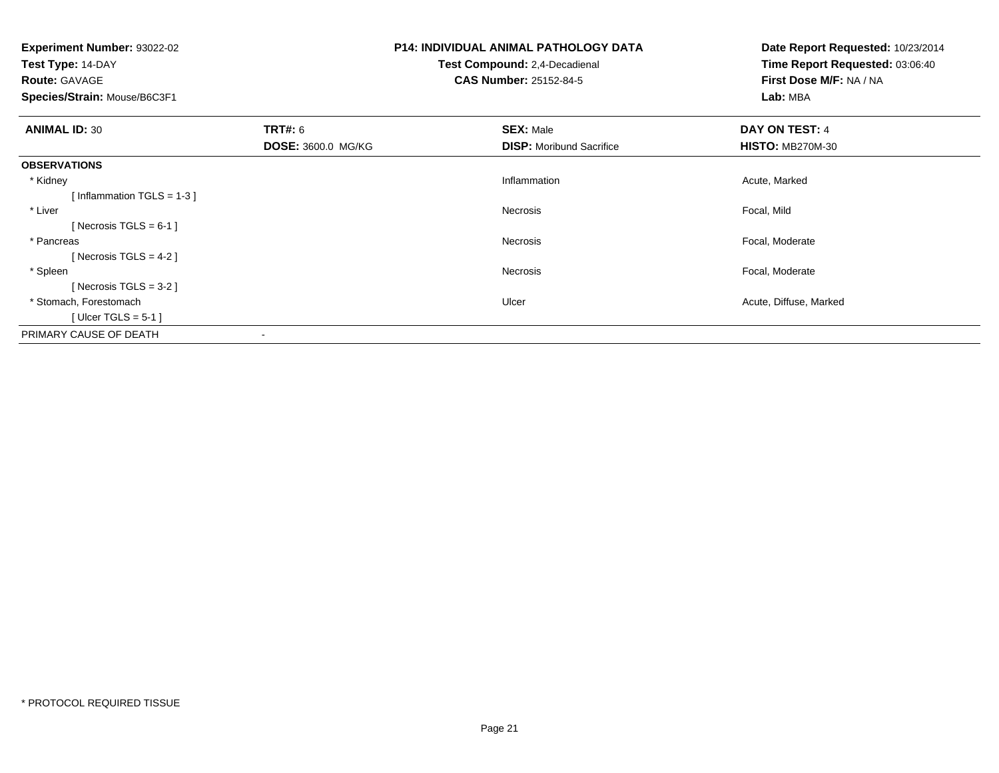| <b>Experiment Number: 93022-02</b>     | <b>P14: INDIVIDUAL ANIMAL PATHOLOGY DATA</b> | Date Report Requested: 10/23/2014 |
|----------------------------------------|----------------------------------------------|-----------------------------------|
| Test Type: 14-DAY                      | Test Compound: 2,4-Decadienal                | Time Report Requested: 03:06:40   |
| <b>Route: GAVAGE</b>                   | <b>CAS Number: 25152-84-5</b>                | First Dose M/F: NA / NA           |
| Species/Strain: Mouse/B6C3F1           |                                              | Lab: MBA                          |
| <b>TRT#: 6</b><br><b>ANIMAL ID: 30</b> | <b>SEX: Male</b>                             | DAY ON TEST: 4                    |
| DOSE: 3600.0 MG/KG                     | <b>DISP:</b> Moribund Sacrifice              | <b>HISTO: MB270M-30</b>           |
| <b>OBSERVATIONS</b>                    |                                              |                                   |
| * Kidney                               | Inflammation                                 | Acute, Marked                     |
| [Inflammation TGLS = $1-3$ ]           |                                              |                                   |
| * Liver                                | Necrosis                                     | Focal, Mild                       |
| [ Necrosis TGLS = $6-1$ ]              |                                              |                                   |
| * Pancreas                             | Necrosis                                     | Focal, Moderate                   |
| [ Necrosis TGLS = $4-2$ ]              |                                              |                                   |
| * Spleen                               | Necrosis                                     | Focal, Moderate                   |
| [Necrosis TGLS = $3-2$ ]               |                                              |                                   |
| * Stomach, Forestomach                 | Ulcer                                        | Acute, Diffuse, Marked            |
| [Ulcer TGLS = $5-1$ ]                  |                                              |                                   |
| PRIMARY CAUSE OF DEATH                 |                                              |                                   |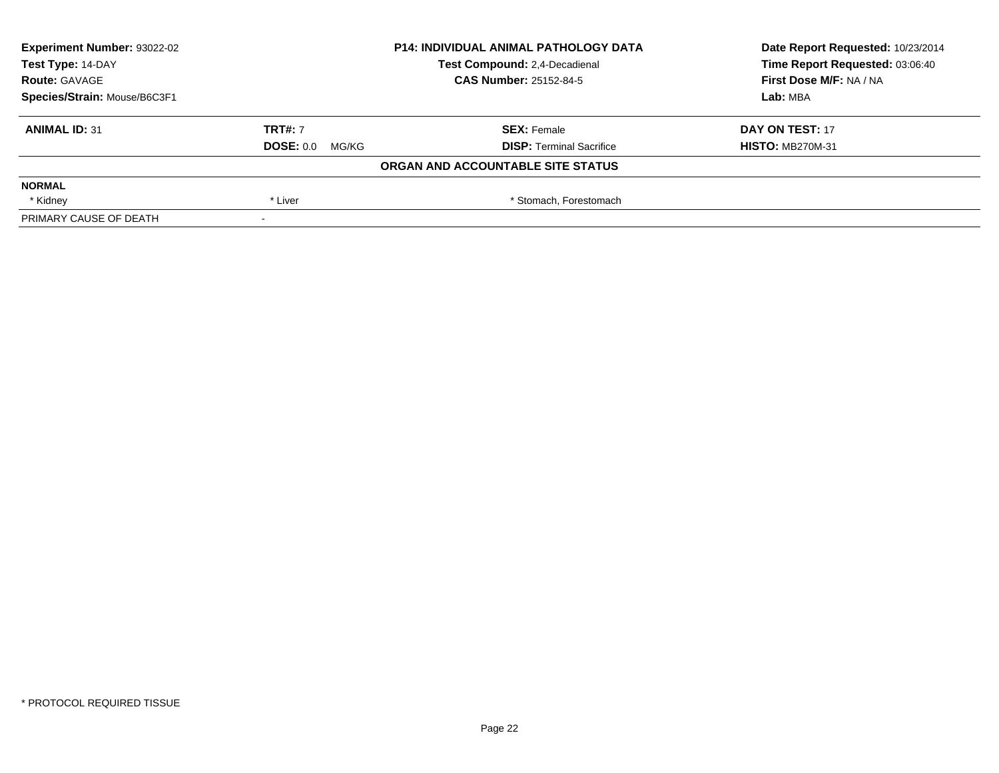| <b>Experiment Number: 93022-02</b> |                   | <b>P14: INDIVIDUAL ANIMAL PATHOLOGY DATA</b> | Date Report Requested: 10/23/2014 |  |
|------------------------------------|-------------------|----------------------------------------------|-----------------------------------|--|
| Test Type: 14-DAY                  |                   | Test Compound: 2,4-Decadienal                | Time Report Requested: 03:06:40   |  |
| <b>Route: GAVAGE</b>               |                   | <b>CAS Number: 25152-84-5</b>                | First Dose M/F: NA / NA           |  |
| Species/Strain: Mouse/B6C3F1       |                   |                                              | Lab: MBA                          |  |
| <b>ANIMAL ID: 31</b>               | <b>TRT#: 7</b>    | <b>SEX: Female</b>                           | DAY ON TEST: 17                   |  |
|                                    | $DOSE: 0.0$ MG/KG | <b>DISP: Terminal Sacrifice</b>              | <b>HISTO: MB270M-31</b>           |  |
|                                    |                   | ORGAN AND ACCOUNTABLE SITE STATUS            |                                   |  |
| <b>NORMAL</b>                      |                   |                                              |                                   |  |
| * Kidney                           | * Liver           | * Stomach, Forestomach                       |                                   |  |
| PRIMARY CAUSE OF DEATH             |                   |                                              |                                   |  |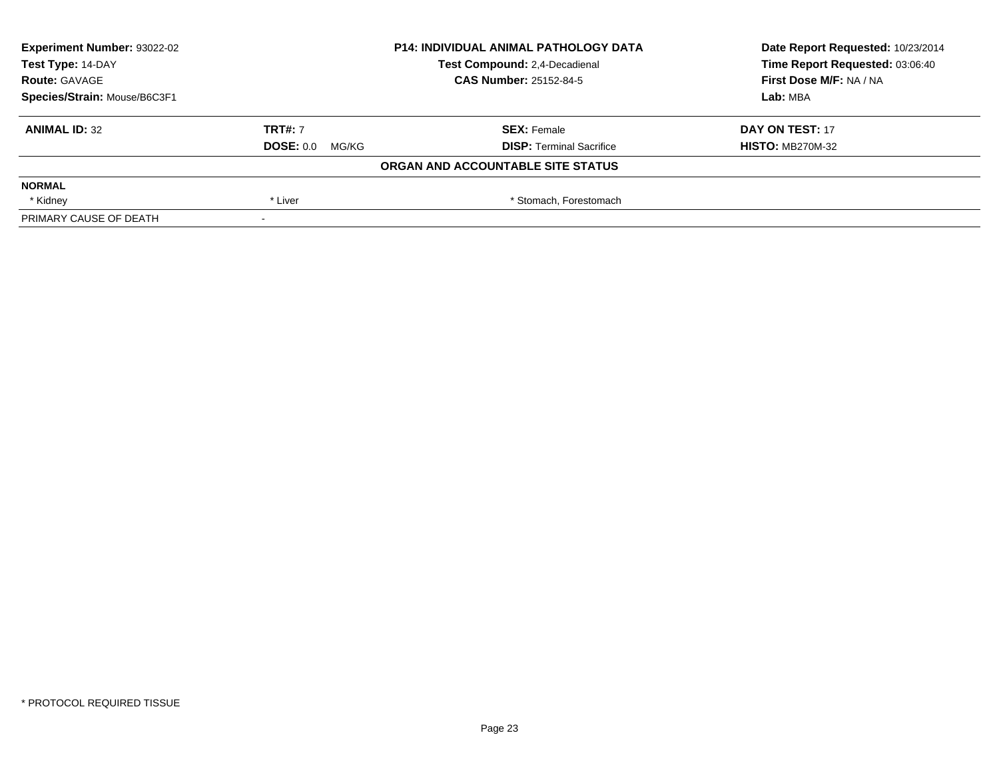| <b>Experiment Number: 93022-02</b> | <b>P14: INDIVIDUAL ANIMAL PATHOLOGY DATA</b><br>Test Compound: 2,4-Decadienal |                                   | Date Report Requested: 10/23/2014 |  |
|------------------------------------|-------------------------------------------------------------------------------|-----------------------------------|-----------------------------------|--|
| Test Type: 14-DAY                  |                                                                               |                                   | Time Report Requested: 03:06:40   |  |
| <b>Route: GAVAGE</b>               |                                                                               | <b>CAS Number: 25152-84-5</b>     | First Dose M/F: NA / NA           |  |
| Species/Strain: Mouse/B6C3F1       |                                                                               |                                   | Lab: MBA                          |  |
| <b>ANIMAL ID: 32</b>               | <b>TRT#: 7</b>                                                                | <b>SEX: Female</b>                | DAY ON TEST: 17                   |  |
|                                    | $DOSE: 0.0$ MG/KG                                                             | <b>DISP: Terminal Sacrifice</b>   | <b>HISTO: MB270M-32</b>           |  |
|                                    |                                                                               | ORGAN AND ACCOUNTABLE SITE STATUS |                                   |  |
| <b>NORMAL</b>                      |                                                                               |                                   |                                   |  |
| * Kidney                           | * Liver                                                                       | * Stomach, Forestomach            |                                   |  |
| PRIMARY CAUSE OF DEATH             |                                                                               |                                   |                                   |  |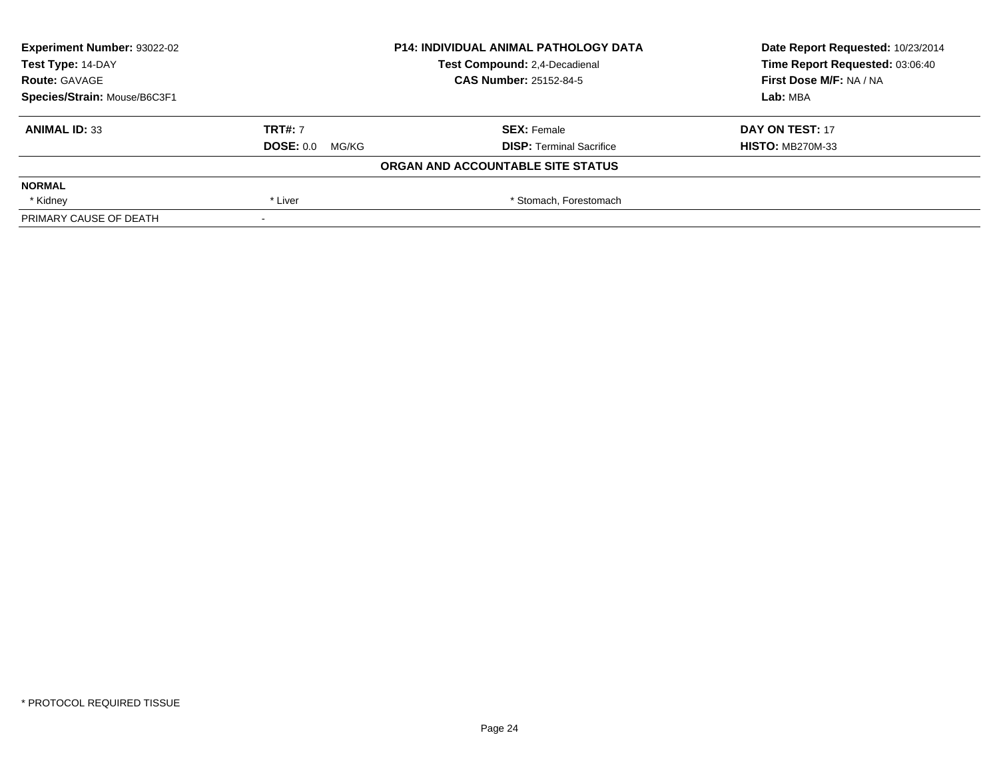| <b>Experiment Number: 93022-02</b> | <b>P14: INDIVIDUAL ANIMAL PATHOLOGY DATA</b><br>Test Compound: 2,4-Decadienal |                                   | Date Report Requested: 10/23/2014 |
|------------------------------------|-------------------------------------------------------------------------------|-----------------------------------|-----------------------------------|
| Test Type: 14-DAY                  |                                                                               |                                   | Time Report Requested: 03:06:40   |
| <b>Route: GAVAGE</b>               |                                                                               | <b>CAS Number: 25152-84-5</b>     | First Dose M/F: NA / NA           |
| Species/Strain: Mouse/B6C3F1       |                                                                               |                                   | Lab: MBA                          |
| <b>ANIMAL ID: 33</b>               | <b>TRT#: 7</b>                                                                | <b>SEX: Female</b>                | DAY ON TEST: 17                   |
|                                    | $DOSE: 0.0$ MG/KG                                                             | <b>DISP: Terminal Sacrifice</b>   | <b>HISTO: MB270M-33</b>           |
|                                    |                                                                               | ORGAN AND ACCOUNTABLE SITE STATUS |                                   |
| <b>NORMAL</b>                      |                                                                               |                                   |                                   |
| * Kidney                           | * Liver                                                                       | * Stomach, Forestomach            |                                   |
| PRIMARY CAUSE OF DEATH             |                                                                               |                                   |                                   |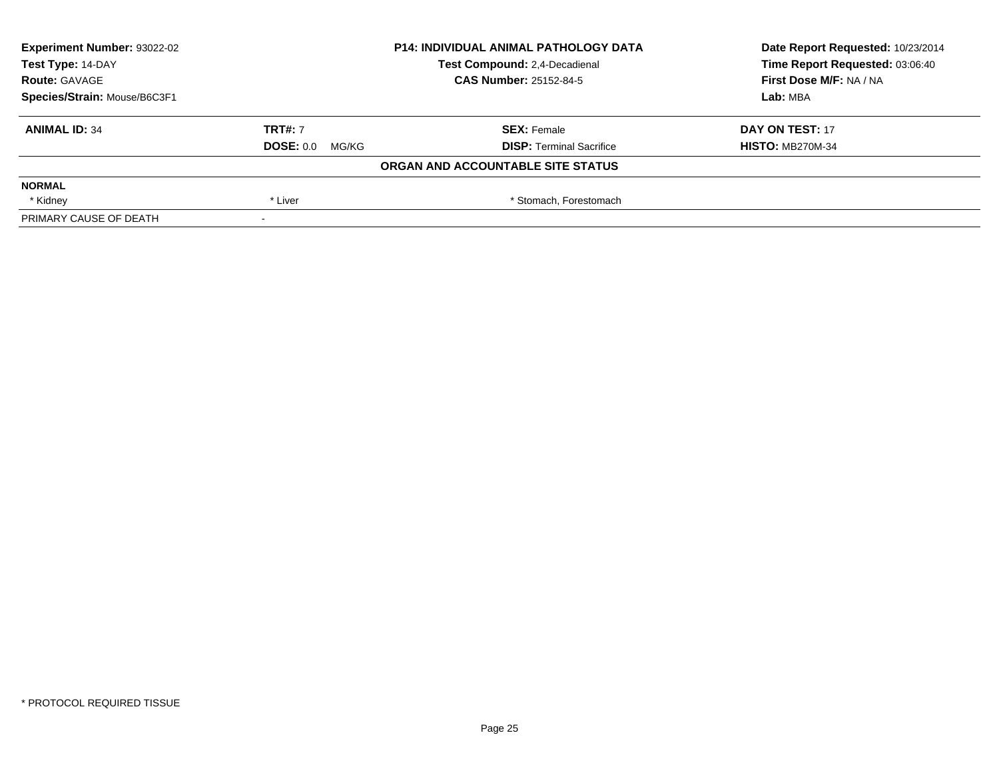| <b>Experiment Number: 93022-02</b> | <b>P14: INDIVIDUAL ANIMAL PATHOLOGY DATA</b><br>Test Compound: 2,4-Decadienal |                                   | Date Report Requested: 10/23/2014 |
|------------------------------------|-------------------------------------------------------------------------------|-----------------------------------|-----------------------------------|
| Test Type: 14-DAY                  |                                                                               |                                   | Time Report Requested: 03:06:40   |
| <b>Route: GAVAGE</b>               |                                                                               | <b>CAS Number: 25152-84-5</b>     | First Dose M/F: NA / NA           |
| Species/Strain: Mouse/B6C3F1       |                                                                               |                                   | Lab: MBA                          |
| <b>ANIMAL ID: 34</b>               | <b>TRT#: 7</b>                                                                | <b>SEX: Female</b>                | DAY ON TEST: 17                   |
|                                    | $DOSE: 0.0$ MG/KG                                                             | <b>DISP: Terminal Sacrifice</b>   | <b>HISTO: MB270M-34</b>           |
|                                    |                                                                               | ORGAN AND ACCOUNTABLE SITE STATUS |                                   |
| <b>NORMAL</b>                      |                                                                               |                                   |                                   |
| * Kidney                           | * Liver                                                                       | * Stomach, Forestomach            |                                   |
| PRIMARY CAUSE OF DEATH             |                                                                               |                                   |                                   |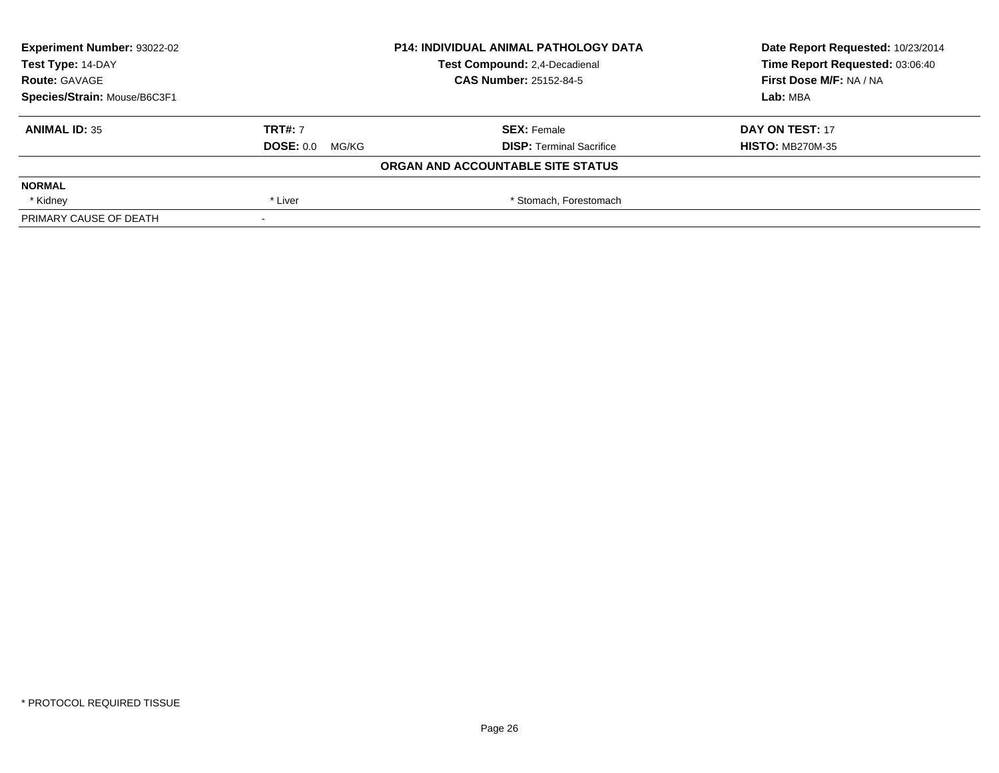| <b>Experiment Number: 93022-02</b> | <b>P14: INDIVIDUAL ANIMAL PATHOLOGY DATA</b><br>Test Compound: 2,4-Decadienal |                                   | Date Report Requested: 10/23/2014 |
|------------------------------------|-------------------------------------------------------------------------------|-----------------------------------|-----------------------------------|
| Test Type: 14-DAY                  |                                                                               |                                   | Time Report Requested: 03:06:40   |
| <b>Route: GAVAGE</b>               |                                                                               | <b>CAS Number: 25152-84-5</b>     | First Dose M/F: NA / NA           |
| Species/Strain: Mouse/B6C3F1       |                                                                               |                                   | Lab: MBA                          |
| <b>ANIMAL ID: 35</b>               | <b>TRT#: 7</b>                                                                | <b>SEX: Female</b>                | DAY ON TEST: 17                   |
|                                    | $DOSE: 0.0$ MG/KG                                                             | <b>DISP: Terminal Sacrifice</b>   | <b>HISTO: MB270M-35</b>           |
|                                    |                                                                               | ORGAN AND ACCOUNTABLE SITE STATUS |                                   |
| <b>NORMAL</b>                      |                                                                               |                                   |                                   |
| * Kidney                           | * Liver                                                                       | * Stomach, Forestomach            |                                   |
| PRIMARY CAUSE OF DEATH             |                                                                               |                                   |                                   |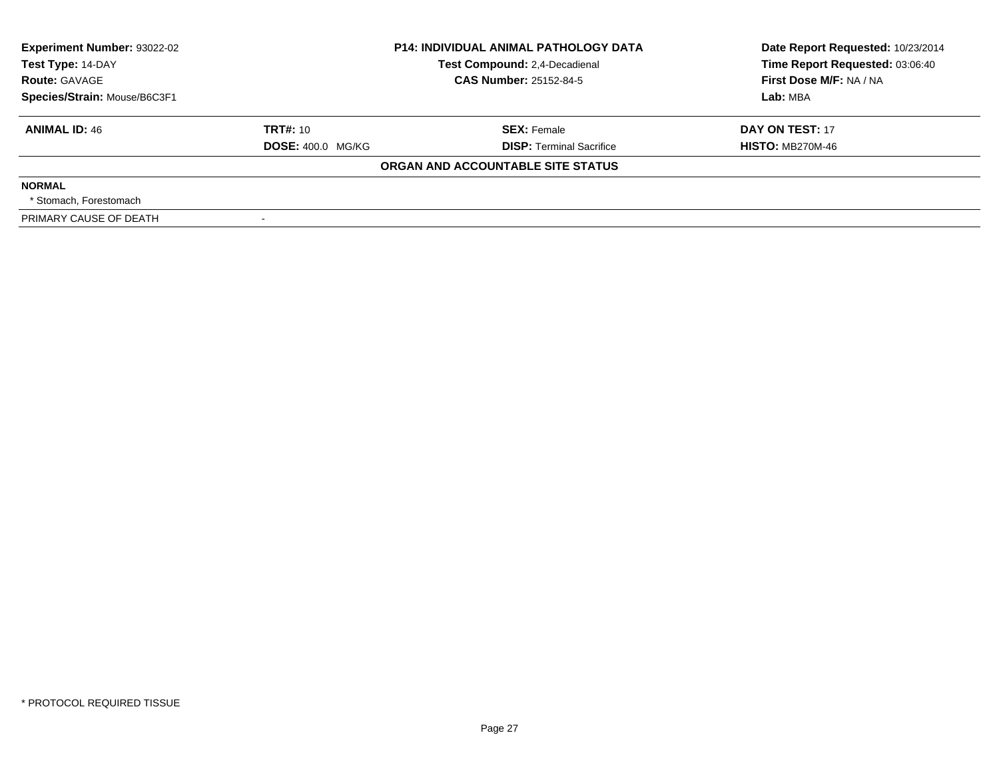| <b>Experiment Number: 93022-02</b><br>Test Type: 14-DAY<br><b>Route: GAVAGE</b><br>Species/Strain: Mouse/B6C3F1 |                                      | <b>P14: INDIVIDUAL ANIMAL PATHOLOGY DATA</b><br>Test Compound: 2,4-Decadienal<br><b>CAS Number: 25152-84-5</b> | Date Report Requested: 10/23/2014<br>Time Report Requested: 03:06:40<br>First Dose M/F: NA / NA<br>Lab: MBA |
|-----------------------------------------------------------------------------------------------------------------|--------------------------------------|----------------------------------------------------------------------------------------------------------------|-------------------------------------------------------------------------------------------------------------|
| <b>ANIMAL ID: 46</b>                                                                                            | TRT#: 10<br><b>DOSE: 400.0 MG/KG</b> | <b>SEX: Female</b><br><b>DISP: Terminal Sacrifice</b>                                                          | DAY ON TEST: 17<br><b>HISTO: MB270M-46</b>                                                                  |
|                                                                                                                 |                                      | ORGAN AND ACCOUNTABLE SITE STATUS                                                                              |                                                                                                             |
| <b>NORMAL</b><br>* Stomach. Forestomach                                                                         |                                      |                                                                                                                |                                                                                                             |
| PRIMARY CAUSE OF DEATH                                                                                          |                                      |                                                                                                                |                                                                                                             |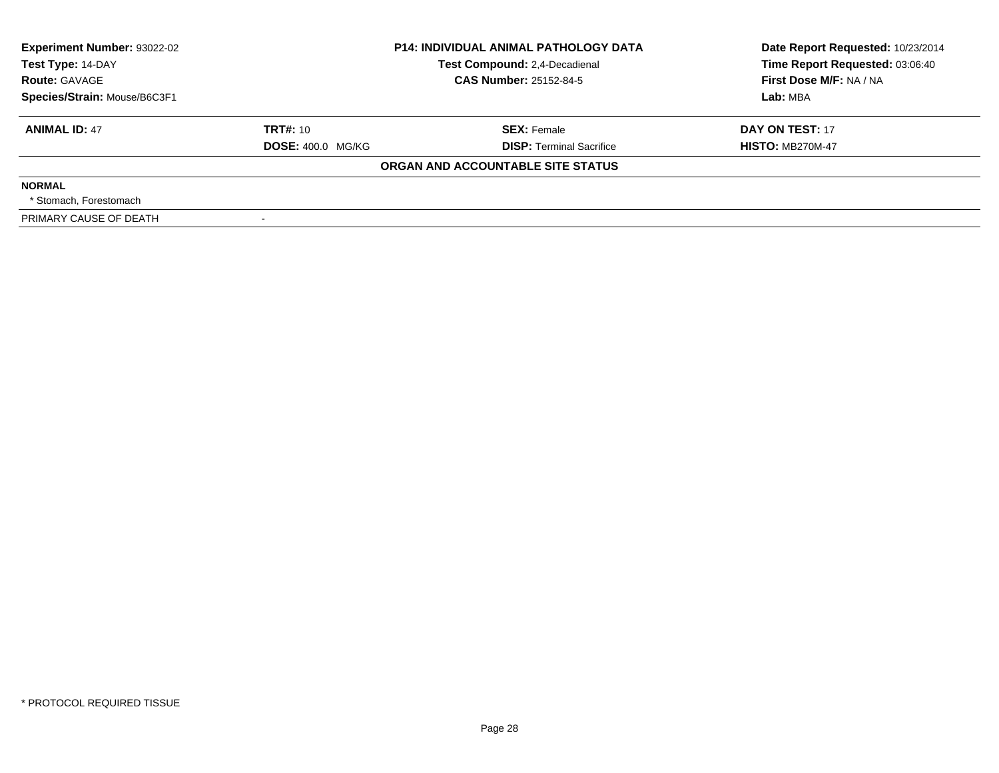| <b>Experiment Number: 93022-02</b><br>Test Type: 14-DAY<br><b>Route: GAVAGE</b><br>Species/Strain: Mouse/B6C3F1 |                                      | <b>P14: INDIVIDUAL ANIMAL PATHOLOGY DATA</b><br>Test Compound: 2,4-Decadienal<br><b>CAS Number: 25152-84-5</b> | Date Report Requested: 10/23/2014<br>Time Report Requested: 03:06:40<br>First Dose M/F: NA / NA<br>Lab: MBA |
|-----------------------------------------------------------------------------------------------------------------|--------------------------------------|----------------------------------------------------------------------------------------------------------------|-------------------------------------------------------------------------------------------------------------|
| <b>ANIMAL ID: 47</b>                                                                                            | TRT#: 10<br><b>DOSE: 400.0 MG/KG</b> | <b>SEX: Female</b><br><b>DISP: Terminal Sacrifice</b>                                                          | DAY ON TEST: 17<br><b>HISTO: MB270M-47</b>                                                                  |
|                                                                                                                 |                                      | ORGAN AND ACCOUNTABLE SITE STATUS                                                                              |                                                                                                             |
| <b>NORMAL</b><br>* Stomach. Forestomach                                                                         |                                      |                                                                                                                |                                                                                                             |
| PRIMARY CAUSE OF DEATH                                                                                          |                                      |                                                                                                                |                                                                                                             |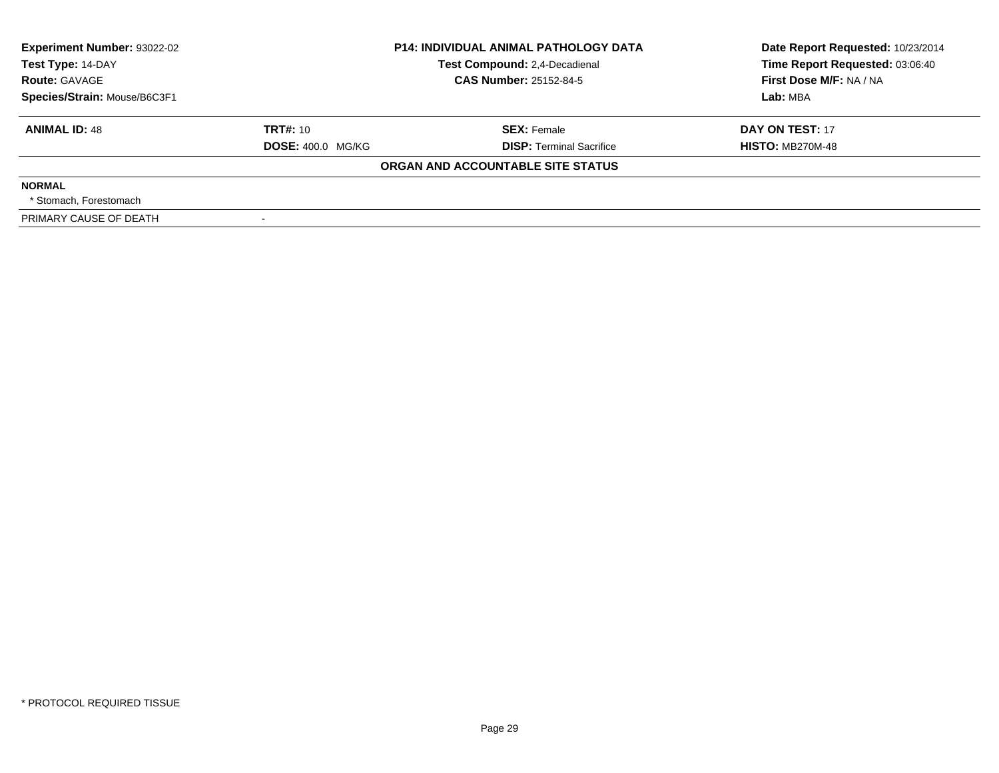| <b>Experiment Number: 93022-02</b><br>Test Type: 14-DAY<br><b>Route: GAVAGE</b><br>Species/Strain: Mouse/B6C3F1 |                                      | <b>P14: INDIVIDUAL ANIMAL PATHOLOGY DATA</b><br>Test Compound: 2,4-Decadienal<br><b>CAS Number: 25152-84-5</b> | Date Report Requested: 10/23/2014<br>Time Report Requested: 03:06:40<br>First Dose M/F: NA / NA<br>Lab: MBA |
|-----------------------------------------------------------------------------------------------------------------|--------------------------------------|----------------------------------------------------------------------------------------------------------------|-------------------------------------------------------------------------------------------------------------|
| <b>ANIMAL ID: 48</b>                                                                                            | TRT#: 10<br><b>DOSE: 400.0 MG/KG</b> | <b>SEX: Female</b><br><b>DISP: Terminal Sacrifice</b>                                                          | DAY ON TEST: 17<br><b>HISTO: MB270M-48</b>                                                                  |
|                                                                                                                 |                                      | ORGAN AND ACCOUNTABLE SITE STATUS                                                                              |                                                                                                             |
| <b>NORMAL</b><br>* Stomach. Forestomach                                                                         |                                      |                                                                                                                |                                                                                                             |
| PRIMARY CAUSE OF DEATH                                                                                          |                                      |                                                                                                                |                                                                                                             |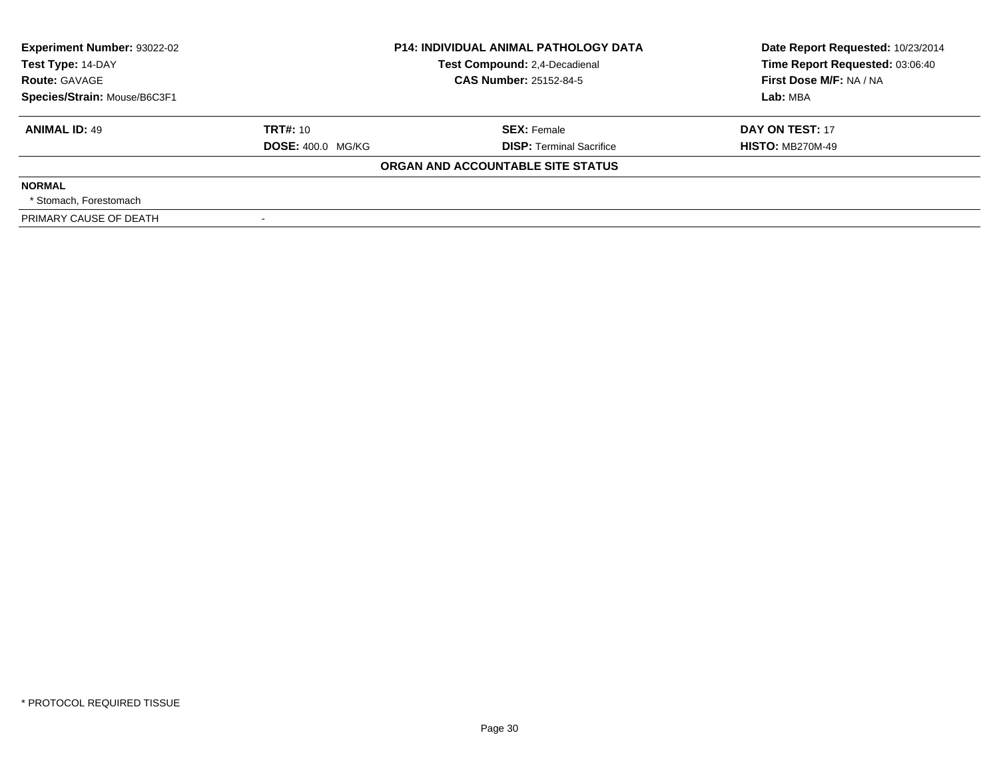| <b>Experiment Number: 93022-02</b><br>Test Type: 14-DAY<br><b>Route: GAVAGE</b><br>Species/Strain: Mouse/B6C3F1 |                                      | <b>P14: INDIVIDUAL ANIMAL PATHOLOGY DATA</b><br>Test Compound: 2,4-Decadienal<br><b>CAS Number: 25152-84-5</b> | Date Report Requested: 10/23/2014<br>Time Report Requested: 03:06:40<br>First Dose M/F: NA / NA<br>Lab: MBA |
|-----------------------------------------------------------------------------------------------------------------|--------------------------------------|----------------------------------------------------------------------------------------------------------------|-------------------------------------------------------------------------------------------------------------|
| <b>ANIMAL ID: 49</b>                                                                                            | TRT#: 10<br><b>DOSE: 400.0 MG/KG</b> | <b>SEX: Female</b><br><b>DISP: Terminal Sacrifice</b>                                                          | DAY ON TEST: 17<br><b>HISTO: MB270M-49</b>                                                                  |
|                                                                                                                 |                                      | ORGAN AND ACCOUNTABLE SITE STATUS                                                                              |                                                                                                             |
| <b>NORMAL</b><br>* Stomach. Forestomach                                                                         |                                      |                                                                                                                |                                                                                                             |
| PRIMARY CAUSE OF DEATH                                                                                          |                                      |                                                                                                                |                                                                                                             |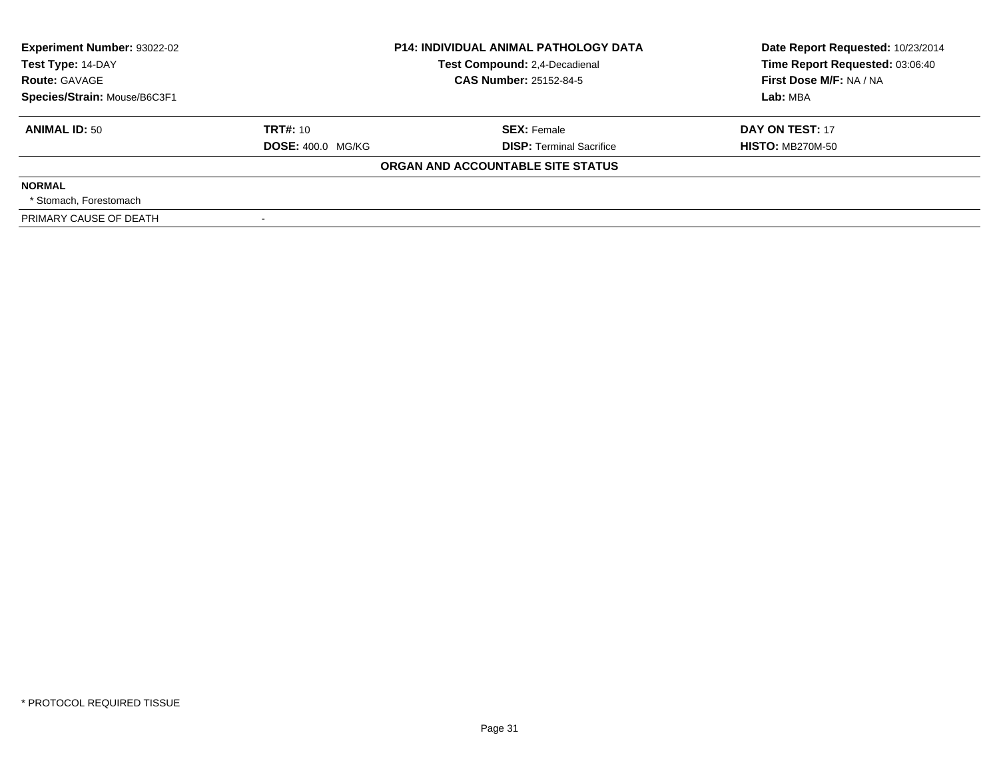| <b>Experiment Number: 93022-02</b><br>Test Type: 14-DAY<br><b>Route: GAVAGE</b><br>Species/Strain: Mouse/B6C3F1 |                                      | <b>P14: INDIVIDUAL ANIMAL PATHOLOGY DATA</b><br>Test Compound: 2,4-Decadienal<br><b>CAS Number: 25152-84-5</b> | Date Report Requested: 10/23/2014<br>Time Report Requested: 03:06:40<br>First Dose M/F: NA / NA<br>Lab: MBA |
|-----------------------------------------------------------------------------------------------------------------|--------------------------------------|----------------------------------------------------------------------------------------------------------------|-------------------------------------------------------------------------------------------------------------|
| <b>ANIMAL ID: 50</b>                                                                                            | TRT#: 10<br><b>DOSE: 400.0 MG/KG</b> | <b>SEX: Female</b><br><b>DISP: Terminal Sacrifice</b>                                                          | DAY ON TEST: 17<br><b>HISTO: MB270M-50</b>                                                                  |
|                                                                                                                 |                                      | ORGAN AND ACCOUNTABLE SITE STATUS                                                                              |                                                                                                             |
| <b>NORMAL</b><br>* Stomach. Forestomach                                                                         |                                      |                                                                                                                |                                                                                                             |
| PRIMARY CAUSE OF DEATH                                                                                          |                                      |                                                                                                                |                                                                                                             |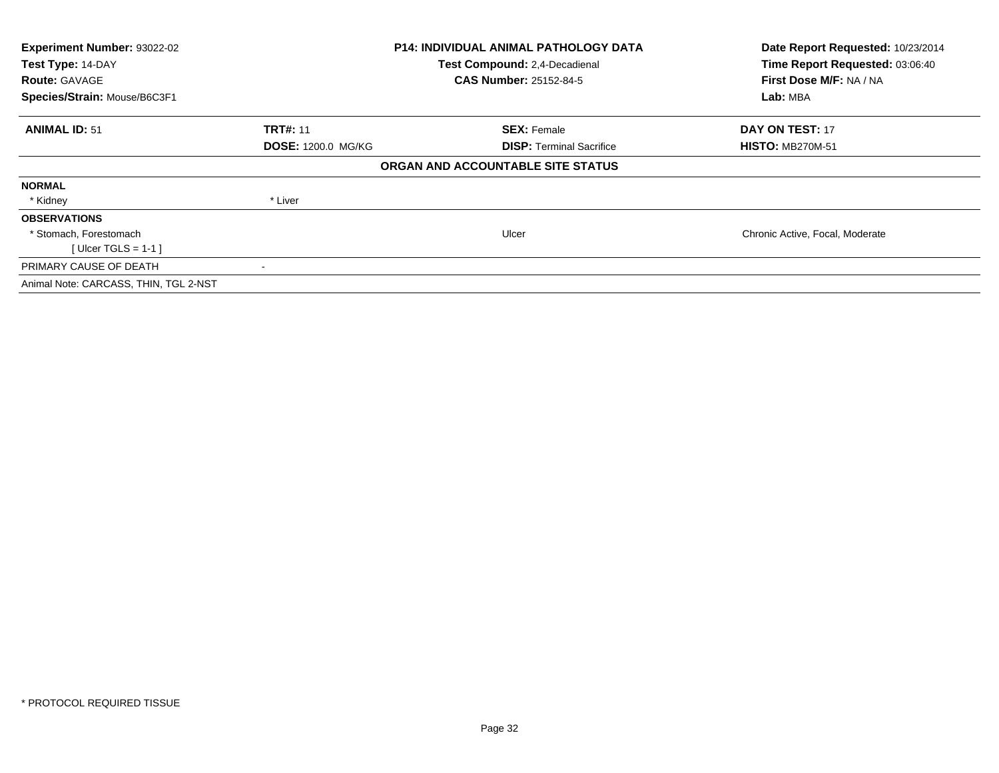| Experiment Number: 93022-02<br>Test Type: 14-DAY<br><b>Route: GAVAGE</b><br>Species/Strain: Mouse/B6C3F1 |                           | <b>P14: INDIVIDUAL ANIMAL PATHOLOGY DATA</b><br>Test Compound: 2,4-Decadienal<br><b>CAS Number: 25152-84-5</b> | Date Report Requested: 10/23/2014<br>Time Report Requested: 03:06:40<br>First Dose M/F: NA / NA<br>Lab: MBA |
|----------------------------------------------------------------------------------------------------------|---------------------------|----------------------------------------------------------------------------------------------------------------|-------------------------------------------------------------------------------------------------------------|
| <b>ANIMAL ID: 51</b>                                                                                     | <b>TRT#: 11</b>           | <b>SEX: Female</b>                                                                                             | DAY ON TEST: 17                                                                                             |
|                                                                                                          | <b>DOSE: 1200.0 MG/KG</b> | <b>DISP:</b> Terminal Sacrifice                                                                                | <b>HISTO: MB270M-51</b>                                                                                     |
|                                                                                                          |                           | ORGAN AND ACCOUNTABLE SITE STATUS                                                                              |                                                                                                             |
| <b>NORMAL</b>                                                                                            |                           |                                                                                                                |                                                                                                             |
| * Kidney                                                                                                 | * Liver                   |                                                                                                                |                                                                                                             |
| <b>OBSERVATIONS</b>                                                                                      |                           |                                                                                                                |                                                                                                             |
| * Stomach, Forestomach                                                                                   |                           | Ulcer                                                                                                          | Chronic Active, Focal, Moderate                                                                             |
| [ Ulcer TGLS = $1-1$ ]                                                                                   |                           |                                                                                                                |                                                                                                             |
| PRIMARY CAUSE OF DEATH                                                                                   |                           |                                                                                                                |                                                                                                             |
| Animal Note: CARCASS, THIN, TGL 2-NST                                                                    |                           |                                                                                                                |                                                                                                             |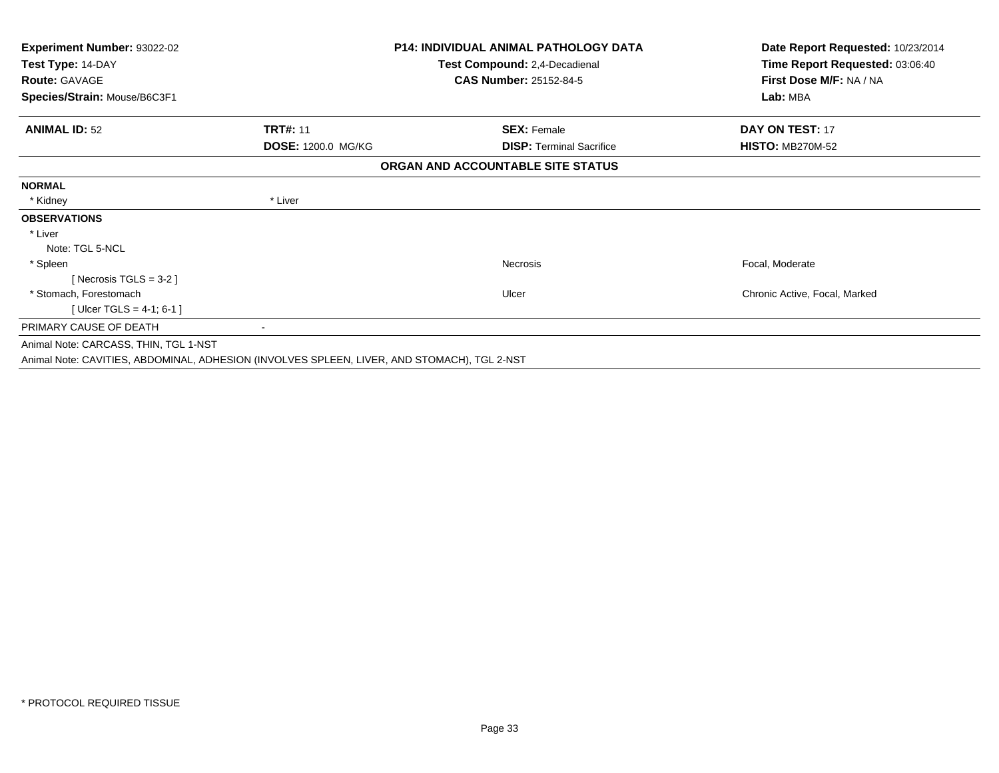| Experiment Number: 93022-02<br>Test Type: 14-DAY |                    | <b>P14: INDIVIDUAL ANIMAL PATHOLOGY DATA</b><br>Test Compound: 2,4-Decadienal | Date Report Requested: 10/23/2014<br>Time Report Requested: 03:06:40 |
|--------------------------------------------------|--------------------|-------------------------------------------------------------------------------|----------------------------------------------------------------------|
| <b>Route: GAVAGE</b>                             |                    | <b>CAS Number: 25152-84-5</b>                                                 | First Dose M/F: NA / NA                                              |
| Species/Strain: Mouse/B6C3F1                     |                    |                                                                               | Lab: MBA                                                             |
| <b>ANIMAL ID: 52</b>                             | <b>TRT#: 11</b>    | <b>SEX: Female</b>                                                            | <b>DAY ON TEST: 17</b>                                               |
|                                                  | DOSE: 1200.0 MG/KG | <b>DISP: Terminal Sacrifice</b>                                               | <b>HISTO: MB270M-52</b>                                              |
|                                                  |                    | ORGAN AND ACCOUNTABLE SITE STATUS                                             |                                                                      |
| <b>NORMAL</b>                                    |                    |                                                                               |                                                                      |
| * Kidney                                         | * Liver            |                                                                               |                                                                      |
| <b>OBSERVATIONS</b>                              |                    |                                                                               |                                                                      |
| * Liver                                          |                    |                                                                               |                                                                      |
| Note: TGL 5-NCL                                  |                    |                                                                               |                                                                      |
| * Spleen                                         |                    | Necrosis                                                                      | Focal, Moderate                                                      |
| [ Necrosis TGLS = $3-2$ ]                        |                    |                                                                               |                                                                      |
| * Stomach, Forestomach                           |                    | Ulcer                                                                         | Chronic Active, Focal, Marked                                        |
| [Ulcer TGLS = $4-1$ ; 6-1 ]                      |                    |                                                                               |                                                                      |
| PRIMARY CAUSE OF DEATH                           |                    |                                                                               |                                                                      |
| Animal Note: CARCASS, THIN, TGL 1-NST            |                    |                                                                               |                                                                      |

Animal Note: CAVITIES, ABDOMINAL, ADHESION (INVOLVES SPLEEN, LIVER, AND STOMACH), TGL 2-NST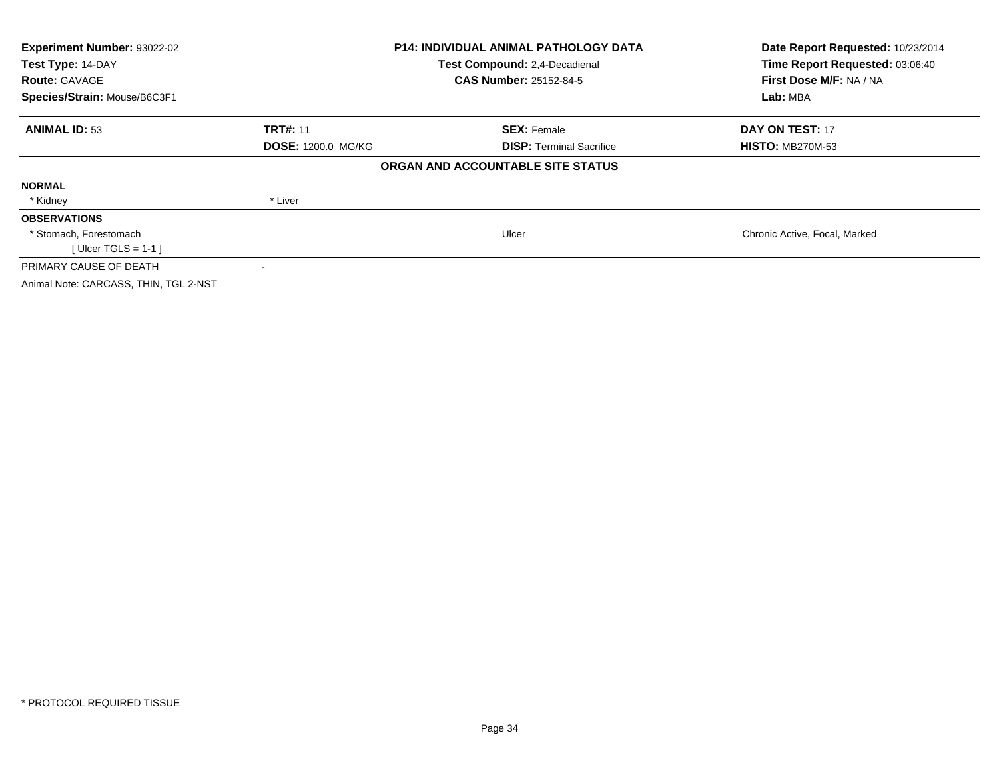| Experiment Number: 93022-02<br>Test Type: 14-DAY<br><b>Route: GAVAGE</b><br>Species/Strain: Mouse/B6C3F1 |                           | <b>P14: INDIVIDUAL ANIMAL PATHOLOGY DATA</b><br>Test Compound: 2,4-Decadienal<br><b>CAS Number: 25152-84-5</b> | Date Report Requested: 10/23/2014<br>Time Report Requested: 03:06:40<br>First Dose M/F: NA / NA<br>Lab: MBA |
|----------------------------------------------------------------------------------------------------------|---------------------------|----------------------------------------------------------------------------------------------------------------|-------------------------------------------------------------------------------------------------------------|
| <b>ANIMAL ID: 53</b>                                                                                     | <b>TRT#: 11</b>           | <b>SEX: Female</b>                                                                                             | DAY ON TEST: 17                                                                                             |
|                                                                                                          | <b>DOSE: 1200.0 MG/KG</b> | <b>DISP: Terminal Sacrifice</b>                                                                                | <b>HISTO: MB270M-53</b>                                                                                     |
|                                                                                                          |                           | ORGAN AND ACCOUNTABLE SITE STATUS                                                                              |                                                                                                             |
| <b>NORMAL</b>                                                                                            |                           |                                                                                                                |                                                                                                             |
| * Kidney                                                                                                 | * Liver                   |                                                                                                                |                                                                                                             |
| <b>OBSERVATIONS</b>                                                                                      |                           |                                                                                                                |                                                                                                             |
| * Stomach, Forestomach                                                                                   |                           | Ulcer                                                                                                          | Chronic Active, Focal, Marked                                                                               |
| [ Ulcer TGLS = $1-1$ ]                                                                                   |                           |                                                                                                                |                                                                                                             |
| PRIMARY CAUSE OF DEATH                                                                                   |                           |                                                                                                                |                                                                                                             |
| Animal Note: CARCASS, THIN, TGL 2-NST                                                                    |                           |                                                                                                                |                                                                                                             |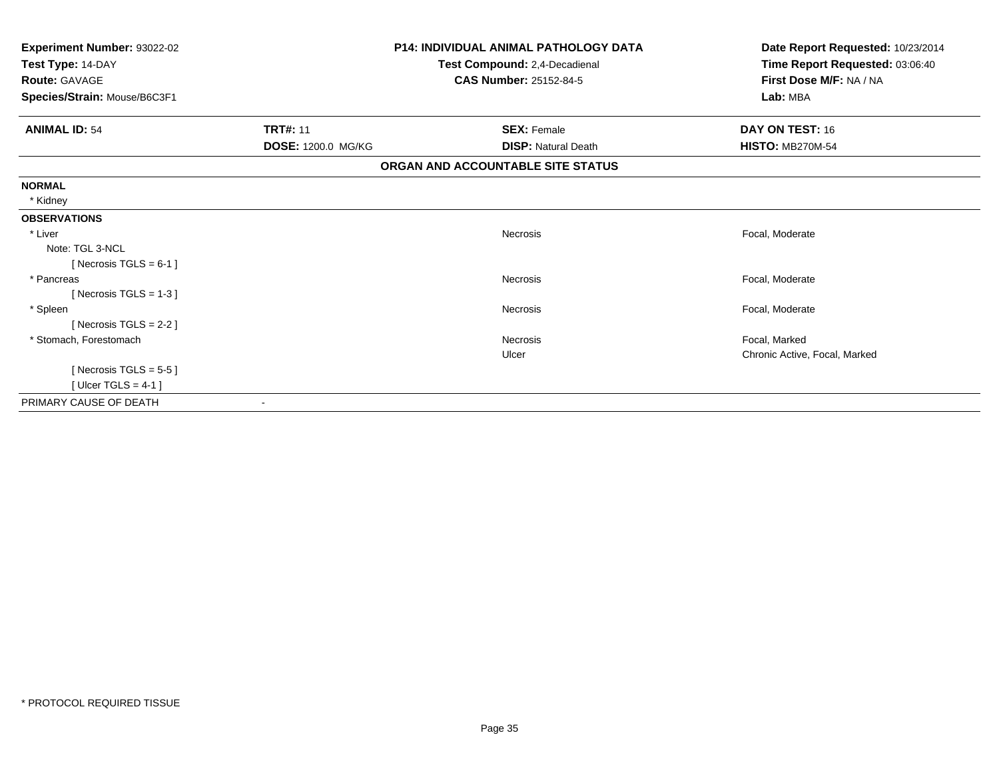| Experiment Number: 93022-02  |                    | P14: INDIVIDUAL ANIMAL PATHOLOGY DATA | Date Report Requested: 10/23/2014 |
|------------------------------|--------------------|---------------------------------------|-----------------------------------|
| Test Type: 14-DAY            |                    | Test Compound: 2,4-Decadienal         | Time Report Requested: 03:06:40   |
| <b>Route: GAVAGE</b>         |                    | <b>CAS Number: 25152-84-5</b>         | First Dose M/F: NA / NA           |
| Species/Strain: Mouse/B6C3F1 |                    |                                       | Lab: MBA                          |
| <b>ANIMAL ID: 54</b>         | <b>TRT#: 11</b>    | <b>SEX: Female</b>                    | DAY ON TEST: 16                   |
|                              | DOSE: 1200.0 MG/KG | <b>DISP: Natural Death</b>            | <b>HISTO: MB270M-54</b>           |
|                              |                    | ORGAN AND ACCOUNTABLE SITE STATUS     |                                   |
| <b>NORMAL</b>                |                    |                                       |                                   |
| * Kidney                     |                    |                                       |                                   |
| <b>OBSERVATIONS</b>          |                    |                                       |                                   |
| * Liver                      |                    | Necrosis                              | Focal, Moderate                   |
| Note: TGL 3-NCL              |                    |                                       |                                   |
| [ Necrosis TGLS = $6-1$ ]    |                    |                                       |                                   |
| * Pancreas                   |                    | <b>Necrosis</b>                       | Focal, Moderate                   |
| [Necrosis TGLS = $1-3$ ]     |                    |                                       |                                   |
| * Spleen                     |                    | Necrosis                              | Focal, Moderate                   |
| [Necrosis $TGLS = 2-2$ ]     |                    |                                       |                                   |
| * Stomach, Forestomach       |                    | Necrosis                              | Focal, Marked                     |
|                              |                    | Ulcer                                 | Chronic Active, Focal, Marked     |
| [ Necrosis TGLS = $5-5$ ]    |                    |                                       |                                   |
| [Ulcer TGLS = 4-1]           |                    |                                       |                                   |
| PRIMARY CAUSE OF DEATH       |                    |                                       |                                   |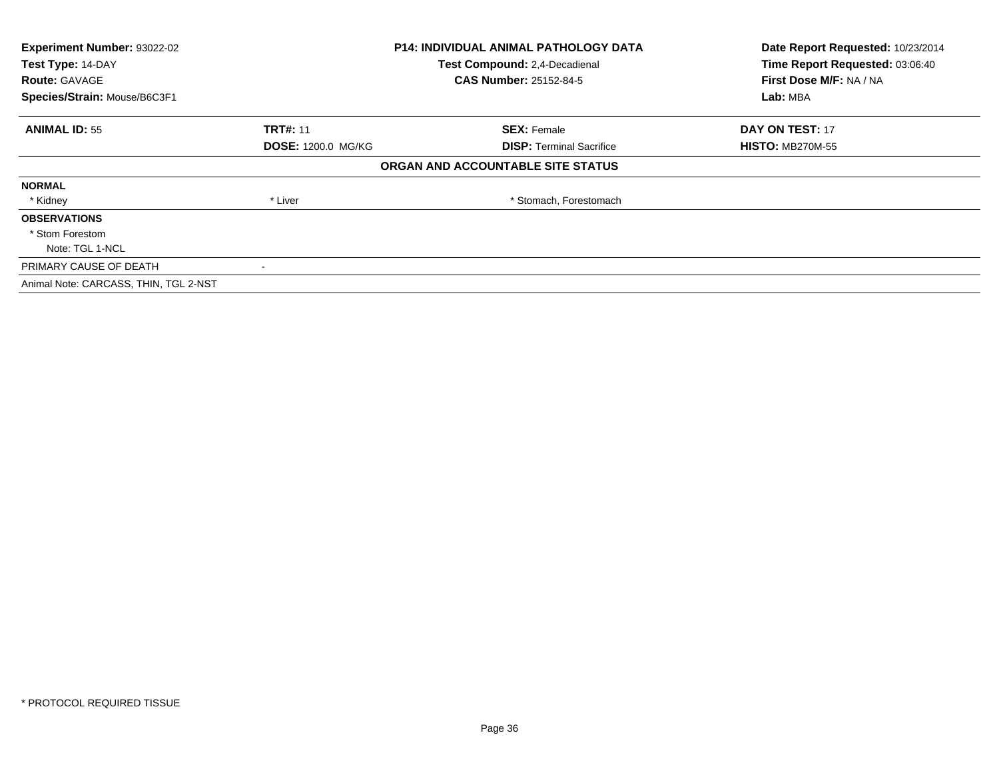| Experiment Number: 93022-02<br>Test Type: 14-DAY<br><b>Route: GAVAGE</b> |                           | <b>P14: INDIVIDUAL ANIMAL PATHOLOGY DATA</b><br>Test Compound: 2,4-Decadienal<br><b>CAS Number: 25152-84-5</b> | Date Report Requested: 10/23/2014<br>Time Report Requested: 03:06:40<br>First Dose M/F: NA / NA |
|--------------------------------------------------------------------------|---------------------------|----------------------------------------------------------------------------------------------------------------|-------------------------------------------------------------------------------------------------|
| Species/Strain: Mouse/B6C3F1                                             |                           |                                                                                                                | Lab: MBA                                                                                        |
| <b>ANIMAL ID: 55</b>                                                     | <b>TRT#: 11</b>           | <b>SEX: Female</b>                                                                                             | DAY ON TEST: 17                                                                                 |
|                                                                          | <b>DOSE: 1200.0 MG/KG</b> | <b>DISP:</b> Terminal Sacrifice                                                                                | <b>HISTO: MB270M-55</b>                                                                         |
|                                                                          |                           | ORGAN AND ACCOUNTABLE SITE STATUS                                                                              |                                                                                                 |
| <b>NORMAL</b>                                                            |                           |                                                                                                                |                                                                                                 |
| * Kidney                                                                 | * Liver                   | * Stomach, Forestomach                                                                                         |                                                                                                 |
| <b>OBSERVATIONS</b>                                                      |                           |                                                                                                                |                                                                                                 |
| * Stom Forestom                                                          |                           |                                                                                                                |                                                                                                 |
| Note: TGL 1-NCL                                                          |                           |                                                                                                                |                                                                                                 |
| PRIMARY CAUSE OF DEATH                                                   |                           |                                                                                                                |                                                                                                 |
| Animal Note: CARCASS, THIN, TGL 2-NST                                    |                           |                                                                                                                |                                                                                                 |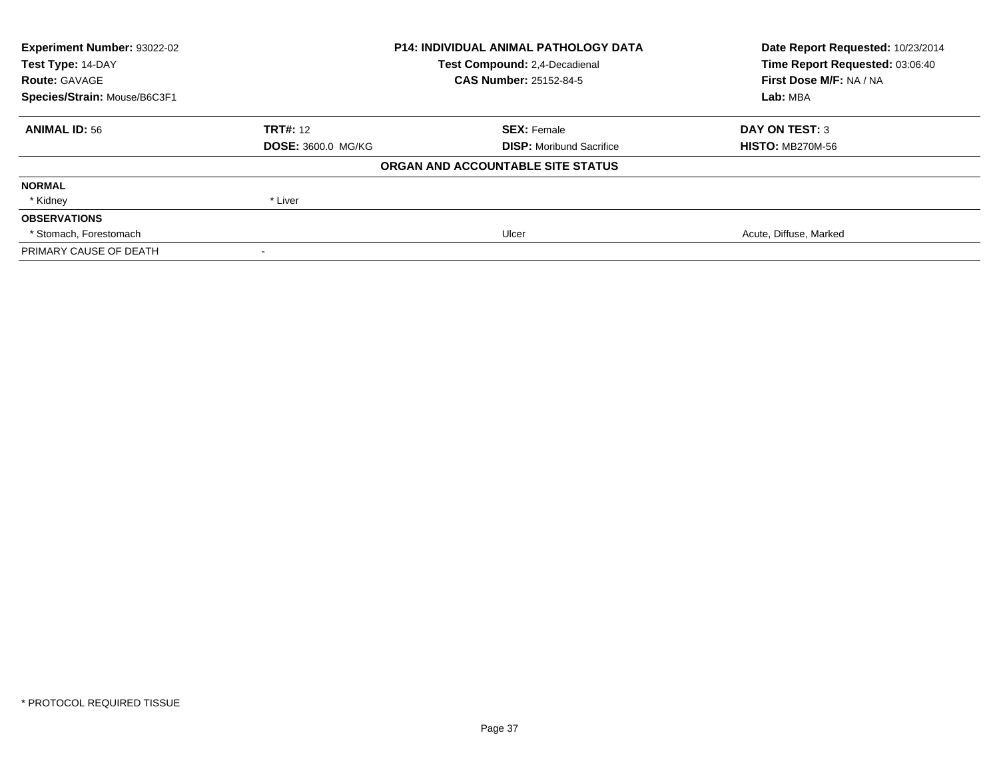| Experiment Number: 93022-02  | <b>P14: INDIVIDUAL ANIMAL PATHOLOGY DATA</b> |                                      | Date Report Requested: 10/23/2014                                      |
|------------------------------|----------------------------------------------|--------------------------------------|------------------------------------------------------------------------|
| Test Type: 14-DAY            |                                              | <b>Test Compound: 2.4-Decadienal</b> | Time Report Requested: 03:06:40<br>First Dose M/F: NA / NA<br>Lab: MBA |
| <b>Route: GAVAGE</b>         |                                              | <b>CAS Number: 25152-84-5</b>        |                                                                        |
| Species/Strain: Mouse/B6C3F1 |                                              |                                      |                                                                        |
| <b>ANIMAL ID: 56</b>         | <b>TRT#: 12</b>                              | <b>SEX: Female</b>                   | <b>DAY ON TEST: 3</b>                                                  |
|                              | <b>DOSE: 3600.0 MG/KG</b>                    | <b>DISP:</b> Moribund Sacrifice      | <b>HISTO: MB270M-56</b>                                                |
|                              |                                              | ORGAN AND ACCOUNTABLE SITE STATUS    |                                                                        |
| <b>NORMAL</b>                |                                              |                                      |                                                                        |
| * Kidney                     | * Liver                                      |                                      |                                                                        |
| <b>OBSERVATIONS</b>          |                                              |                                      |                                                                        |
| * Stomach, Forestomach       |                                              | Ulcer                                | Acute, Diffuse, Marked                                                 |
| PRIMARY CAUSE OF DEATH       |                                              |                                      |                                                                        |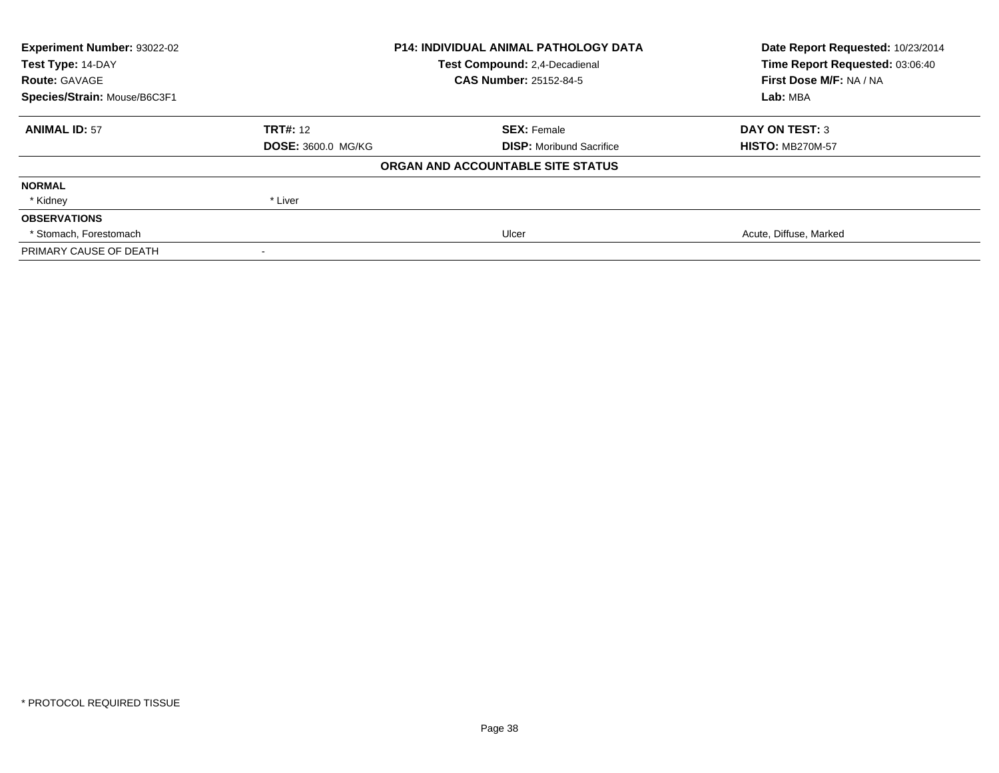| Experiment Number: 93022-02  | <b>P14: INDIVIDUAL ANIMAL PATHOLOGY DATA</b> |                                   | Date Report Requested: 10/23/2014                                      |
|------------------------------|----------------------------------------------|-----------------------------------|------------------------------------------------------------------------|
| Test Type: 14-DAY            |                                              | Test Compound: 2,4-Decadienal     | Time Report Requested: 03:06:40<br>First Dose M/F: NA / NA<br>Lab: MBA |
| <b>Route: GAVAGE</b>         |                                              | <b>CAS Number: 25152-84-5</b>     |                                                                        |
| Species/Strain: Mouse/B6C3F1 |                                              |                                   |                                                                        |
| <b>ANIMAL ID: 57</b>         | <b>TRT#: 12</b>                              | <b>SEX: Female</b>                | <b>DAY ON TEST: 3</b>                                                  |
|                              | <b>DOSE: 3600.0 MG/KG</b>                    | <b>DISP:</b> Moribund Sacrifice   | <b>HISTO: MB270M-57</b>                                                |
|                              |                                              | ORGAN AND ACCOUNTABLE SITE STATUS |                                                                        |
| <b>NORMAL</b>                |                                              |                                   |                                                                        |
| * Kidney                     | * Liver                                      |                                   |                                                                        |
| <b>OBSERVATIONS</b>          |                                              |                                   |                                                                        |
| * Stomach, Forestomach       |                                              | Ulcer                             | Acute, Diffuse, Marked                                                 |
| PRIMARY CAUSE OF DEATH       |                                              |                                   |                                                                        |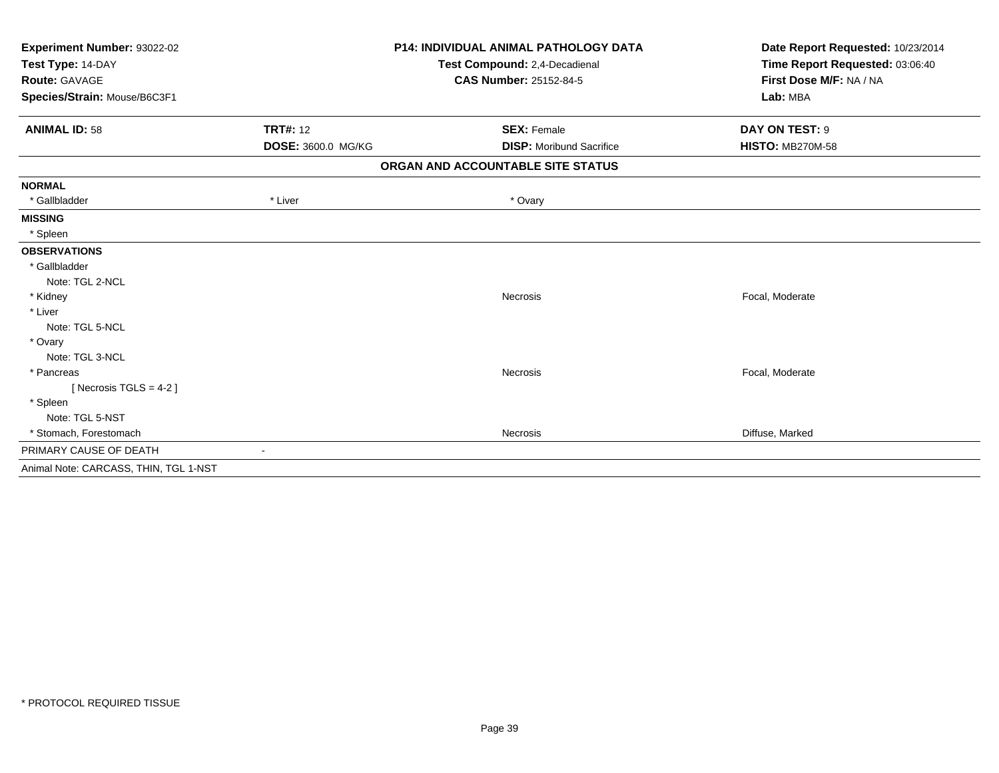| Experiment Number: 93022-02           | <b>P14: INDIVIDUAL ANIMAL PATHOLOGY DATA</b> |                                   | Date Report Requested: 10/23/2014                          |
|---------------------------------------|----------------------------------------------|-----------------------------------|------------------------------------------------------------|
| Test Type: 14-DAY                     |                                              | Test Compound: 2,4-Decadienal     | Time Report Requested: 03:06:40<br>First Dose M/F: NA / NA |
| Route: GAVAGE                         |                                              | <b>CAS Number: 25152-84-5</b>     |                                                            |
| Species/Strain: Mouse/B6C3F1          |                                              |                                   | Lab: MBA                                                   |
| <b>ANIMAL ID: 58</b>                  | <b>TRT#: 12</b>                              | <b>SEX: Female</b>                | DAY ON TEST: 9                                             |
|                                       | DOSE: 3600.0 MG/KG                           | <b>DISP:</b> Moribund Sacrifice   | <b>HISTO: MB270M-58</b>                                    |
|                                       |                                              | ORGAN AND ACCOUNTABLE SITE STATUS |                                                            |
| <b>NORMAL</b>                         |                                              |                                   |                                                            |
| * Gallbladder                         | * Liver                                      | * Ovary                           |                                                            |
| <b>MISSING</b>                        |                                              |                                   |                                                            |
| * Spleen                              |                                              |                                   |                                                            |
| <b>OBSERVATIONS</b>                   |                                              |                                   |                                                            |
| * Gallbladder                         |                                              |                                   |                                                            |
| Note: TGL 2-NCL                       |                                              |                                   |                                                            |
| * Kidney                              |                                              | <b>Necrosis</b>                   | Focal, Moderate                                            |
| * Liver                               |                                              |                                   |                                                            |
| Note: TGL 5-NCL                       |                                              |                                   |                                                            |
| * Ovary                               |                                              |                                   |                                                            |
| Note: TGL 3-NCL                       |                                              |                                   |                                                            |
| * Pancreas                            |                                              | <b>Necrosis</b>                   | Focal, Moderate                                            |
| [Necrosis TGLS = $4-2$ ]              |                                              |                                   |                                                            |
| * Spleen                              |                                              |                                   |                                                            |
| Note: TGL 5-NST                       |                                              |                                   |                                                            |
| * Stomach, Forestomach                |                                              | Necrosis                          | Diffuse, Marked                                            |
| PRIMARY CAUSE OF DEATH                | $\blacksquare$                               |                                   |                                                            |
| Animal Note: CARCASS, THIN, TGL 1-NST |                                              |                                   |                                                            |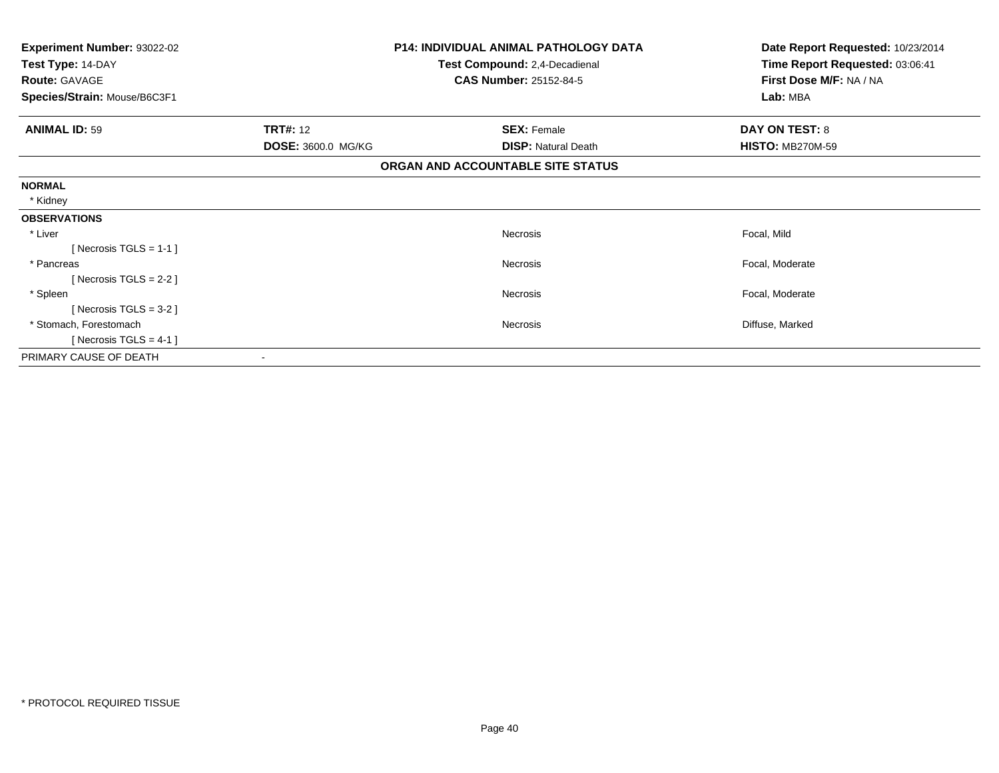| Experiment Number: 93022-02<br>Test Type: 14-DAY | <b>P14: INDIVIDUAL ANIMAL PATHOLOGY DATA</b> |                                                                | Date Report Requested: 10/23/2014                          |
|--------------------------------------------------|----------------------------------------------|----------------------------------------------------------------|------------------------------------------------------------|
| <b>Route: GAVAGE</b>                             |                                              | Test Compound: 2,4-Decadienal<br><b>CAS Number: 25152-84-5</b> | Time Report Requested: 03:06:41<br>First Dose M/F: NA / NA |
| Species/Strain: Mouse/B6C3F1                     |                                              |                                                                | Lab: MBA                                                   |
|                                                  |                                              |                                                                |                                                            |
| <b>ANIMAL ID: 59</b>                             | <b>TRT#: 12</b>                              | <b>SEX: Female</b>                                             | DAY ON TEST: 8                                             |
|                                                  | DOSE: 3600.0 MG/KG                           | <b>DISP: Natural Death</b>                                     | <b>HISTO: MB270M-59</b>                                    |
|                                                  |                                              | ORGAN AND ACCOUNTABLE SITE STATUS                              |                                                            |
| <b>NORMAL</b>                                    |                                              |                                                                |                                                            |
| * Kidney                                         |                                              |                                                                |                                                            |
| <b>OBSERVATIONS</b>                              |                                              |                                                                |                                                            |
| * Liver                                          |                                              | <b>Necrosis</b>                                                | Focal, Mild                                                |
| [Necrosis TGLS = $1-1$ ]                         |                                              |                                                                |                                                            |
| * Pancreas                                       |                                              | Necrosis                                                       | Focal, Moderate                                            |
| [Necrosis TGLS = $2-2$ ]                         |                                              |                                                                |                                                            |
| * Spleen                                         |                                              | <b>Necrosis</b>                                                | Focal, Moderate                                            |
| [ Necrosis TGLS = $3-2$ ]                        |                                              |                                                                |                                                            |
| * Stomach, Forestomach                           |                                              | Necrosis                                                       | Diffuse, Marked                                            |
| [ Necrosis TGLS = $4-1$ ]                        |                                              |                                                                |                                                            |
| PRIMARY CAUSE OF DEATH                           |                                              |                                                                |                                                            |